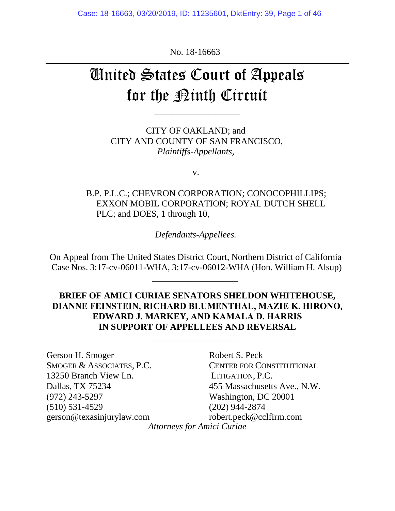Case: 18-16663, 03/20/2019, ID: 11235601, DktEntry: 39, Page 1 of 46

No. 18-16663

# United States Court of Appeals for the <u>Pinth</u> Circuit

\_\_\_\_\_\_\_\_\_\_\_\_\_\_\_\_\_\_\_

CITY OF OAKLAND; and CITY AND COUNTY OF SAN FRANCISCO, *Plaintiffs-Appellants,*

v.

B.P. P.L.C.; CHEVRON CORPORATION; CONOCOPHILLIPS; EXXON MOBIL CORPORATION; ROYAL DUTCH SHELL PLC; and DOES, 1 through 10,

*Defendants-Appellees.*

On Appeal from The United States District Court, Northern District of California Case Nos. 3:17-cv-06011-WHA, 3:17-cv-06012-WHA (Hon. William H. Alsup)

\_\_\_\_\_\_\_\_\_\_\_\_\_\_\_\_\_\_\_

#### **BRIEF OF AMICI CURIAE SENATORS SHELDON WHITEHOUSE, DIANNE FEINSTEIN, RICHARD BLUMENTHAL, MAZIE K. HIRONO, EDWARD J. MARKEY, AND KAMALA D. HARRIS IN SUPPORT OF APPELLEES AND REVERSAL**

\_\_\_\_\_\_\_\_\_\_\_\_\_\_\_\_\_\_\_

| Gerson H. Smoger          | Robert S. Peck                    |
|---------------------------|-----------------------------------|
| SMOGER & ASSOCIATES, P.C. | CENTER FOR CONSTITUTIONAL         |
| 13250 Branch View Ln.     | LITIGATION, P.C.                  |
| Dallas, TX 75234          | 455 Massachusetts Ave., N.W.      |
| (972) 243-5297            | Washington, DC 20001              |
| $(510)$ 531-4529          | $(202)$ 944-2874                  |
| gerson@texasinjurylaw.com | robert.peck@cclfirm.com           |
|                           | <b>Attorneys for Amici Curiae</b> |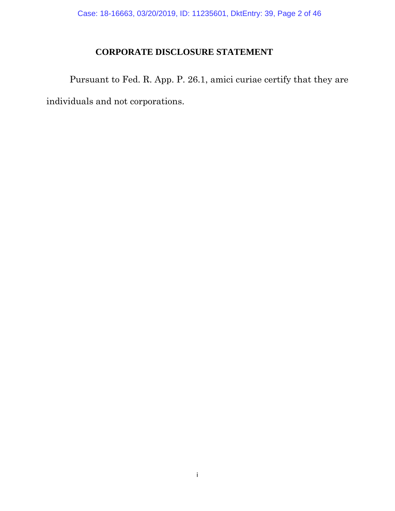# **CORPORATE DISCLOSURE STATEMENT**

<span id="page-1-0"></span>Pursuant to Fed. R. App. P. 26.1, amici curiae certify that they are individuals and not corporations.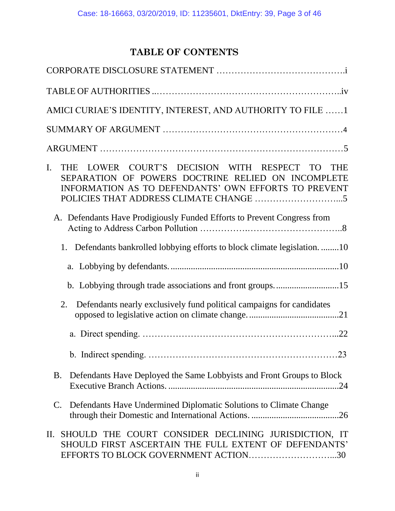# **TABLE OF CONTENTS**

| AMICI CURIAE'S IDENTITY, INTEREST, AND AUTHORITY TO FILE 1                                                                                                                   |
|------------------------------------------------------------------------------------------------------------------------------------------------------------------------------|
|                                                                                                                                                                              |
|                                                                                                                                                                              |
| THE LOWER COURT'S DECISION WITH RESPECT TO<br>I.<br><b>THE</b><br>SEPARATION OF POWERS DOCTRINE RELIED ON INCOMPLETE<br>INFORMATION AS TO DEFENDANTS' OWN EFFORTS TO PREVENT |
| A. Defendants Have Prodigiously Funded Efforts to Prevent Congress from                                                                                                      |
| 1. Defendants bankrolled lobbying efforts to block climate legislation10                                                                                                     |
|                                                                                                                                                                              |
|                                                                                                                                                                              |
| Defendants nearly exclusively fund political campaigns for candidates<br>2.                                                                                                  |
|                                                                                                                                                                              |
|                                                                                                                                                                              |
| Defendants Have Deployed the Same Lobbyists and Front Groups to Block<br>B.                                                                                                  |
| Defendants Have Undermined Diplomatic Solutions to Climate Change<br>C.                                                                                                      |
| SHOULD THE COURT CONSIDER DECLINING JURISDICTION, IT<br>П.<br>SHOULD FIRST ASCERTAIN THE FULL EXTENT OF DEFENDANTS'<br>EFFORTS TO BLOCK GOVERNMENT ACTION30                  |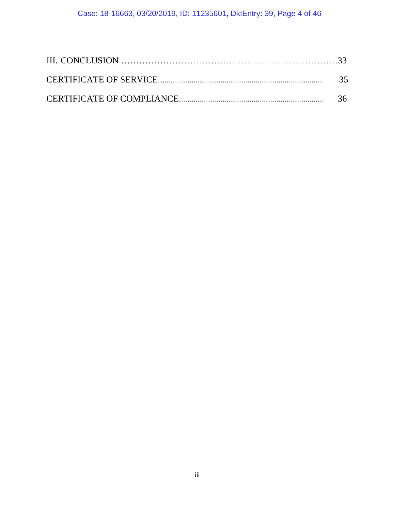## Case: 18-16663, 03/20/2019, ID: 11235601, DktEntry: 39, Page 4 of 46

| -35 |
|-----|
|     |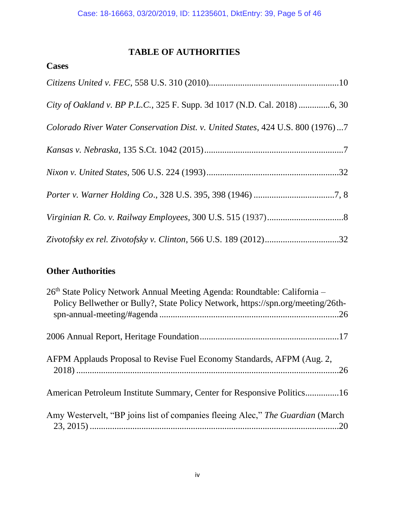# **TABLE OF AUTHORITIES**

## <span id="page-4-0"></span>**Cases**

| Colorado River Water Conservation Dist. v. United States, 424 U.S. 800 (1976)7 |
|--------------------------------------------------------------------------------|
|                                                                                |
|                                                                                |
|                                                                                |
|                                                                                |
|                                                                                |

# **Other Authorities**

| 26th State Policy Network Annual Meeting Agenda: Roundtable: California -<br>Policy Bellwether or Bully?, State Policy Network, https://spn.org/meeting/26th- |  |
|---------------------------------------------------------------------------------------------------------------------------------------------------------------|--|
|                                                                                                                                                               |  |
|                                                                                                                                                               |  |
| AFPM Applauds Proposal to Revise Fuel Economy Standards, AFPM (Aug. 2,                                                                                        |  |
| American Petroleum Institute Summary, Center for Responsive Politics16                                                                                        |  |
| Amy Westervelt, "BP joins list of companies fleeing Alec," The Guardian (March                                                                                |  |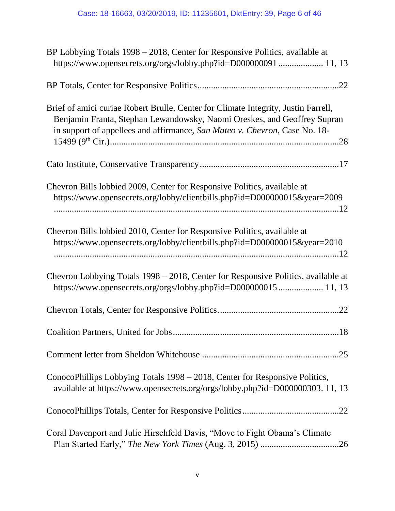| BP Lobbying Totals 1998 - 2018, Center for Responsive Politics, available at<br>https://www.opensecrets.org/orgs/lobby.php?id=D000000091  11, 13                                                                                             |
|----------------------------------------------------------------------------------------------------------------------------------------------------------------------------------------------------------------------------------------------|
|                                                                                                                                                                                                                                              |
| Brief of amici curiae Robert Brulle, Center for Climate Integrity, Justin Farrell,<br>Benjamin Franta, Stephan Lewandowsky, Naomi Oreskes, and Geoffrey Supran<br>in support of appellees and affirmance, San Mateo v. Chevron, Case No. 18- |
|                                                                                                                                                                                                                                              |
| Chevron Bills lobbied 2009, Center for Responsive Politics, available at<br>https://www.opensecrets.org/lobby/clientbills.php?id=D000000015&year=2009                                                                                        |
| Chevron Bills lobbied 2010, Center for Responsive Politics, available at<br>https://www.opensecrets.org/lobby/clientbills.php?id=D000000015&year=2010                                                                                        |
| Chevron Lobbying Totals 1998 – 2018, Center for Responsive Politics, available at<br>https://www.opensecrets.org/orgs/lobby.php?id=D000000015 11, 13                                                                                         |
|                                                                                                                                                                                                                                              |
| Coalition Partners, United for Jobs<br>18                                                                                                                                                                                                    |
|                                                                                                                                                                                                                                              |
| ConocoPhillips Lobbying Totals 1998 – 2018, Center for Responsive Politics,<br>available at https://www.opensecrets.org/orgs/lobby.php?id=D000000303.11,13                                                                                   |
|                                                                                                                                                                                                                                              |
| Coral Davenport and Julie Hirschfeld Davis, "Move to Fight Obama's Climate                                                                                                                                                                   |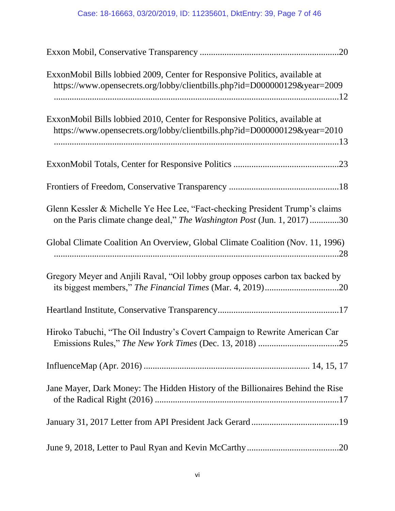## Case: 18-16663, 03/20/2019, ID: 11235601, DktEntry: 39, Page 7 of 46

| ExxonMobil Bills lobbied 2009, Center for Responsive Politics, available at<br>https://www.opensecrets.org/lobby/clientbills.php?id=D000000129&year=2009 |  |
|----------------------------------------------------------------------------------------------------------------------------------------------------------|--|
| ExxonMobil Bills lobbied 2010, Center for Responsive Politics, available at<br>https://www.opensecrets.org/lobby/clientbills.php?id=D000000129&year=2010 |  |
|                                                                                                                                                          |  |
|                                                                                                                                                          |  |
| Glenn Kessler & Michelle Ye Hee Lee, "Fact-checking President Trump's claims<br>on the Paris climate change deal," The Washington Post (Jun. 1, 2017)30  |  |
| Global Climate Coalition An Overview, Global Climate Coalition (Nov. 11, 1996)                                                                           |  |
| Gregory Meyer and Anjili Raval, "Oil lobby group opposes carbon tax backed by                                                                            |  |
|                                                                                                                                                          |  |
| Hiroko Tabuchi, "The Oil Industry's Covert Campaign to Rewrite American Car                                                                              |  |
|                                                                                                                                                          |  |
| Jane Mayer, Dark Money: The Hidden History of the Billionaires Behind the Rise                                                                           |  |
|                                                                                                                                                          |  |
|                                                                                                                                                          |  |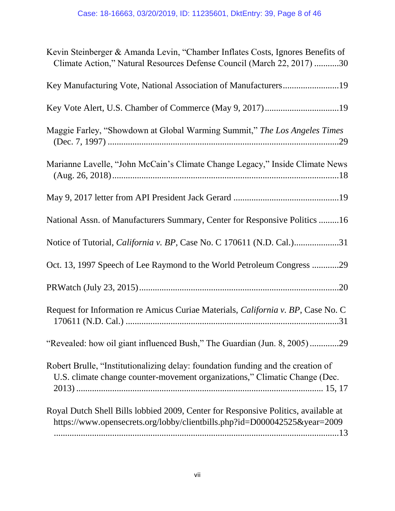| Kevin Steinberger & Amanda Levin, "Chamber Inflates Costs, Ignores Benefits of<br>Climate Action," Natural Resources Defense Council (March 22, 2017) 30        |
|-----------------------------------------------------------------------------------------------------------------------------------------------------------------|
| Key Manufacturing Vote, National Association of Manufacturers19                                                                                                 |
|                                                                                                                                                                 |
| Maggie Farley, "Showdown at Global Warming Summit," The Los Angeles Times                                                                                       |
| Marianne Lavelle, "John McCain's Climate Change Legacy," Inside Climate News                                                                                    |
|                                                                                                                                                                 |
| National Assn. of Manufacturers Summary, Center for Responsive Politics 16                                                                                      |
| Notice of Tutorial, <i>California v. BP</i> , Case No. C 170611 (N.D. Cal.)31                                                                                   |
| Oct. 13, 1997 Speech of Lee Raymond to the World Petroleum Congress 29                                                                                          |
|                                                                                                                                                                 |
| Request for Information re Amicus Curiae Materials, California v. BP, Case No. C                                                                                |
| "Revealed: how oil giant influenced Bush," The Guardian (Jun. 8, 2005)29                                                                                        |
| Robert Brulle, "Institutionalizing delay: foundation funding and the creation of<br>U.S. climate change counter-movement organizations," Climatic Change (Dec.  |
| Royal Dutch Shell Bills lobbied 2009, Center for Responsive Politics, available at<br>https://www.opensecrets.org/lobby/clientbills.php?id=D000042525&year=2009 |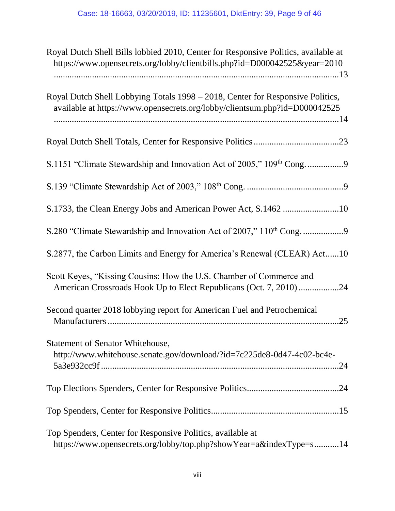| Royal Dutch Shell Bills lobbied 2010, Center for Responsive Politics, available at<br>https://www.opensecrets.org/lobby/clientbills.php?id=D000042525&year=2010 |
|-----------------------------------------------------------------------------------------------------------------------------------------------------------------|
| Royal Dutch Shell Lobbying Totals 1998 – 2018, Center for Responsive Politics,<br>available at https://www.opensecrets.org/lobby/clientsum.php?id=D000042525    |
|                                                                                                                                                                 |
| S.1151 "Climate Stewardship and Innovation Act of 2005," 109th Cong                                                                                             |
|                                                                                                                                                                 |
|                                                                                                                                                                 |
|                                                                                                                                                                 |
| S.2877, the Carbon Limits and Energy for America's Renewal (CLEAR) Act10                                                                                        |
| Scott Keyes, "Kissing Cousins: How the U.S. Chamber of Commerce and<br>American Crossroads Hook Up to Elect Republicans (Oct. 7, 2010) 24                       |
| Second quarter 2018 lobbying report for American Fuel and Petrochemical                                                                                         |
| <b>Statement of Senator Whitehouse,</b><br>http://www.whitehouse.senate.gov/download/?id=7c225de8-0d47-4c02-bc4e-                                               |
|                                                                                                                                                                 |
|                                                                                                                                                                 |
| Top Spenders, Center for Responsive Politics, available at<br>https://www.opensecrets.org/lobby/top.php?showYear=a&indexType=s14                                |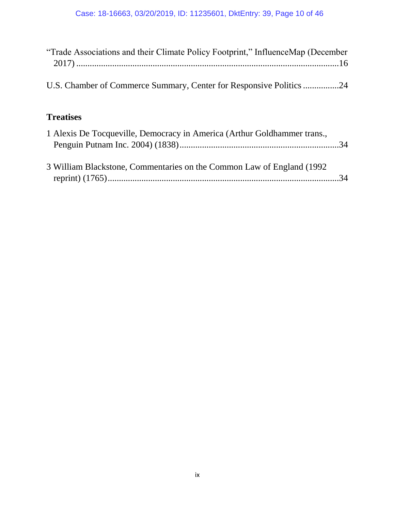| "Trade Associations and their Climate Policy Footprint," InfluenceMap (December |  |
|---------------------------------------------------------------------------------|--|
| U.S. Chamber of Commerce Summary, Center for Responsive Politics 24             |  |
| <b>Treatises</b>                                                                |  |
| 1 Alexis De Tocqueville, Democracy in America (Arthur Goldhammer trans.,        |  |
| 3 William Blackstone, Commentaries on the Common Law of England (1992)          |  |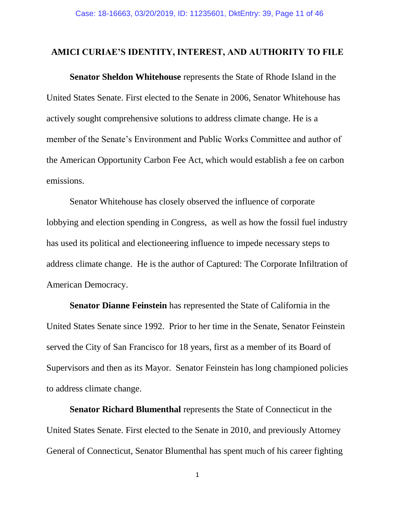#### <span id="page-10-0"></span>**AMICI CURIAE'S IDENTITY, INTEREST, AND AUTHORITY TO FILE**

**Senator Sheldon Whitehouse** represents the State of Rhode Island in the United States Senate. First elected to the Senate in 2006, Senator Whitehouse has actively sought comprehensive solutions to address climate change. He is a member of the Senate's Environment and Public Works Committee and author of the American Opportunity Carbon Fee Act, which would establish a fee on carbon emissions.

Senator Whitehouse has closely observed the influence of corporate lobbying and election spending in Congress, as well as how the fossil fuel industry has used its political and electioneering influence to impede necessary steps to address climate change. He is the author of Captured: The Corporate Infiltration of American Democracy.

**Senator Dianne Feinstein** has represented the State of California in the United States Senate since 1992. Prior to her time in the Senate, Senator Feinstein served the City of San Francisco for 18 years, first as a member of its Board of Supervisors and then as its Mayor. Senator Feinstein has long championed policies to address climate change.

**Senator Richard Blumenthal** represents the State of Connecticut in the United States Senate. First elected to the Senate in 2010, and previously Attorney General of Connecticut, Senator Blumenthal has spent much of his career fighting

1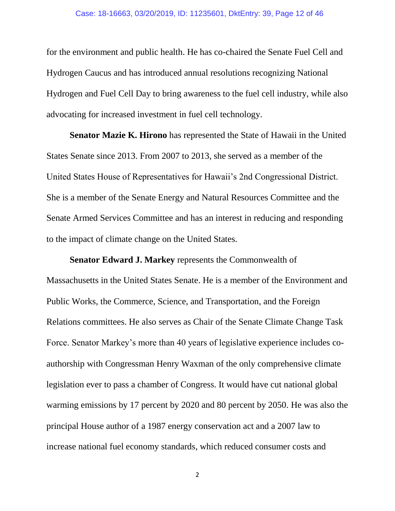for the environment and public health. He has co-chaired the Senate Fuel Cell and Hydrogen Caucus and has introduced annual resolutions recognizing National Hydrogen and Fuel Cell Day to bring awareness to the fuel cell industry, while also advocating for increased investment in fuel cell technology.

**Senator Mazie K. Hirono** has represented the State of Hawaii in the United States Senate since 2013. From 2007 to 2013, she served as a member of the United States House of Representatives for Hawaii's 2nd Congressional District. She is a member of the Senate Energy and Natural Resources Committee and the Senate Armed Services Committee and has an interest in reducing and responding to the impact of climate change on the United States.

**Senator Edward J. Markey** represents the Commonwealth of

Massachusetts in the United States Senate. He is a member of the Environment and Public Works, the Commerce, Science, and Transportation, and the Foreign Relations committees. He also serves as Chair of the Senate Climate Change Task Force. Senator Markey's more than 40 years of legislative experience includes coauthorship with Congressman Henry Waxman of the only comprehensive climate legislation ever to pass a chamber of Congress. It would have cut national global warming emissions by 17 percent by 2020 and 80 percent by 2050. He was also the principal House author of a 1987 energy conservation act and a 2007 law to increase national fuel economy standards, which reduced consumer costs and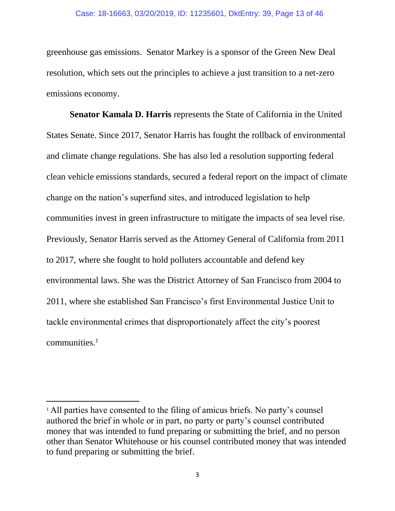greenhouse gas emissions. Senator Markey is a sponsor of the Green New Deal resolution, which sets out the principles to achieve a just transition to a net-zero emissions economy.

**Senator Kamala D. Harris** represents the State of California in the United States Senate. Since 2017, Senator Harris has fought the rollback of environmental and climate change regulations. She has also led a resolution supporting federal clean vehicle emissions standards, secured a federal report on the impact of climate change on the nation's superfund sites, and introduced legislation to help communities invest in green infrastructure to mitigate the impacts of sea level rise. Previously, Senator Harris served as the Attorney General of California from 2011 to 2017, where she fought to hold polluters accountable and defend key environmental laws. She was the District Attorney of San Francisco from 2004 to 2011, where she established San Francisco's first Environmental Justice Unit to tackle environmental crimes that disproportionately affect the city's poorest communities.<sup>1</sup>

<span id="page-12-0"></span>l

<sup>&</sup>lt;sup>1</sup> All parties have consented to the filing of amicus briefs. No party's counsel authored the brief in whole or in part, no party or party's counsel contributed money that was intended to fund preparing or submitting the brief, and no person other than Senator Whitehouse or his counsel contributed money that was intended to fund preparing or submitting the brief.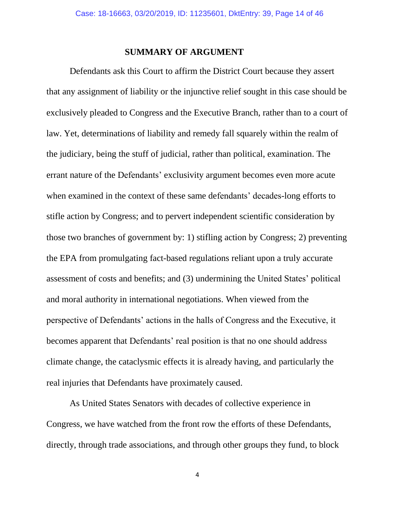#### **SUMMARY OF ARGUMENT**

Defendants ask this Court to affirm the District Court because they assert that any assignment of liability or the injunctive relief sought in this case should be exclusively pleaded to Congress and the Executive Branch, rather than to a court of law. Yet, determinations of liability and remedy fall squarely within the realm of the judiciary, being the stuff of judicial, rather than political, examination. The errant nature of the Defendants' exclusivity argument becomes even more acute when examined in the context of these same defendants' decades-long efforts to stifle action by Congress; and to pervert independent scientific consideration by those two branches of government by: 1) stifling action by Congress; 2) preventing the EPA from promulgating fact-based regulations reliant upon a truly accurate assessment of costs and benefits; and (3) undermining the United States' political and moral authority in international negotiations. When viewed from the perspective of Defendants' actions in the halls of Congress and the Executive, it becomes apparent that Defendants' real position is that no one should address climate change, the cataclysmic effects it is already having, and particularly the real injuries that Defendants have proximately caused.

As United States Senators with decades of collective experience in Congress, we have watched from the front row the efforts of these Defendants, directly, through trade associations, and through other groups they fund, to block

4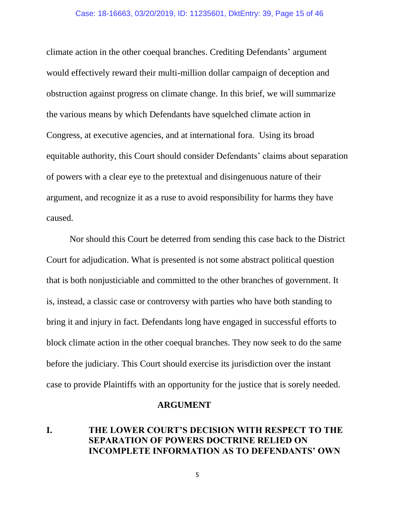climate action in the other coequal branches. Crediting Defendants' argument would effectively reward their multi-million dollar campaign of deception and obstruction against progress on climate change. In this brief, we will summarize the various means by which Defendants have squelched climate action in Congress, at executive agencies, and at international fora. Using its broad equitable authority, this Court should consider Defendants' claims about separation of powers with a clear eye to the pretextual and disingenuous nature of their argument, and recognize it as a ruse to avoid responsibility for harms they have caused.

Nor should this Court be deterred from sending this case back to the District Court for adjudication. What is presented is not some abstract political question that is both nonjusticiable and committed to the other branches of government. It is, instead, a classic case or controversy with parties who have both standing to bring it and injury in fact. Defendants long have engaged in successful efforts to block climate action in the other coequal branches. They now seek to do the same before the judiciary. This Court should exercise its jurisdiction over the instant case to provide Plaintiffs with an opportunity for the justice that is sorely needed.

#### **ARGUMENT**

#### <span id="page-14-1"></span><span id="page-14-0"></span>**I. THE LOWER COURT'S DECISION WITH RESPECT TO THE SEPARATION OF POWERS DOCTRINE RELIED ON INCOMPLETE INFORMATION AS TO DEFENDANTS' OWN**

5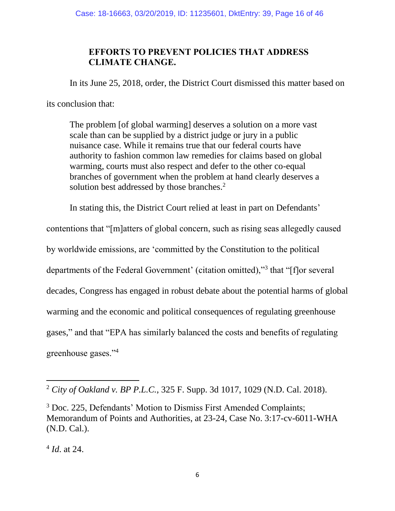## **EFFORTS TO PREVENT POLICIES THAT ADDRESS CLIMATE CHANGE.**

In its June 25, 2018, order, the District Court dismissed this matter based on

its conclusion that:

The problem [of global warming] deserves a solution on a more vast scale than can be supplied by a district judge or jury in a public nuisance case. While it remains true that our federal courts have authority to fashion common law remedies for claims based on global warming, courts must also respect and defer to the other co-equal branches of government when the problem at hand clearly deserves a solution best addressed by those branches.<sup>2</sup>

In stating this, the District Court relied at least in part on Defendants'

contentions that "[m]atters of global concern, such as rising seas allegedly caused by worldwide emissions, are 'committed by the Constitution to the political departments of the Federal Government' (citation omitted),"<sup>3</sup> that "[f]or several decades, Congress has engaged in robust debate about the potential harms of global warming and the economic and political consequences of regulating greenhouse gases," and that "EPA has similarly balanced the costs and benefits of regulating greenhouse gases."<sup>4</sup>

<sup>2</sup> *City of Oakland v. BP P.L.C.*, 325 F. Supp. 3d 1017, 1029 (N.D. Cal. 2018).

<sup>3</sup> Doc. 225, Defendants' Motion to Dismiss First Amended Complaints; Memorandum of Points and Authorities, at 23-24, Case No. 3:17-cv-6011-WHA (N.D. Cal.).

<sup>4</sup> *Id*. at 24.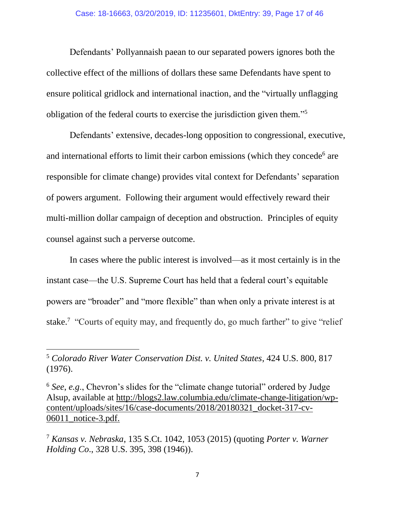Defendants' Pollyannaish paean to our separated powers ignores both the collective effect of the millions of dollars these same Defendants have spent to ensure political gridlock and international inaction, and the "virtually unflagging obligation of the federal courts to exercise the jurisdiction given them." 5

Defendants' extensive, decades-long opposition to congressional, executive, and international efforts to limit their carbon emissions (which they concede<sup>6</sup> are responsible for climate change) provides vital context for Defendants' separation of powers argument. Following their argument would effectively reward their multi-million dollar campaign of deception and obstruction. Principles of equity counsel against such a perverse outcome.

In cases where the public interest is involved—as it most certainly is in the instant case—the U.S. Supreme Court has held that a federal court's equitable powers are "broader" and "more flexible" than when only a private interest is at stake.<sup>7</sup> "Courts of equity may, and frequently do, go much farther" to give "relief

<sup>5</sup> *Colorado River Water Conservation Dist. v. United States*, 424 U.S. 800, 817 (1976).

<sup>6</sup> *See*, *e.g*., Chevron's slides for the "climate change tutorial" ordered by Judge Alsup, available at [http://blogs2.law.columbia.edu/climate-change-litigation/wp](blogs2.law.columbia.edu/climate-change-litigation/wp-content/uploads/sites/16/case-documents/2018/20180321_docket-317-cv-06011_notice-3.pdf)[content/uploads/sites/16/case-documents/2018/20180321\\_docket-317-cv-](blogs2.law.columbia.edu/climate-change-litigation/wp-content/uploads/sites/16/case-documents/2018/20180321_docket-317-cv-06011_notice-3.pdf)[06011\\_notice-3.pdf.](blogs2.law.columbia.edu/climate-change-litigation/wp-content/uploads/sites/16/case-documents/2018/20180321_docket-317-cv-06011_notice-3.pdf)

<sup>7</sup> *Kansas v. Nebraska*, 135 S.Ct. 1042, 1053 (2015) (quoting *Porter v. Warner Holding Co*., 328 U.S. 395, 398 (1946)).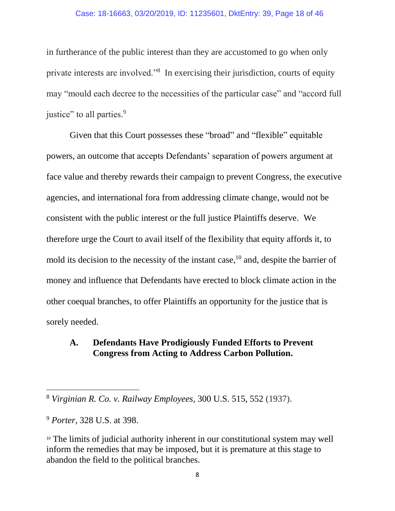#### Case: 18-16663, 03/20/2019, ID: 11235601, DktEntry: 39, Page 18 of 46

in furtherance of the public interest than they are accustomed to go when only private interests are involved."<sup>8</sup> In exercising their jurisdiction, courts of equity may "mould each decree to the necessities of the particular case" and "accord full justice" to all parties.<sup>9</sup>

Given that this Court possesses these "broad" and "flexible" equitable powers, an outcome that accepts Defendants' separation of powers argument at face value and thereby rewards their campaign to prevent Congress, the executive agencies, and international fora from addressing climate change, would not be consistent with the public interest or the full justice Plaintiffs deserve. We therefore urge the Court to avail itself of the flexibility that equity affords it, to mold its decision to the necessity of the instant case,<sup>10</sup> and, despite the barrier of money and influence that Defendants have erected to block climate action in the other coequal branches, to offer Plaintiffs an opportunity for the justice that is sorely needed.

#### <span id="page-17-0"></span>**A. Defendants Have Prodigiously Funded Efforts to Prevent Congress from Acting to Address Carbon Pollution.**

<sup>8</sup> *Virginian R. Co. v. Railway Employees,* 300 U.S. 515, 552 (1937).

<sup>9</sup> *Porter*, 328 U.S. at 398.

<sup>&</sup>lt;sup>10</sup> The limits of judicial authority inherent in our constitutional system may well inform the remedies that may be imposed, but it is premature at this stage to abandon the field to the political branches.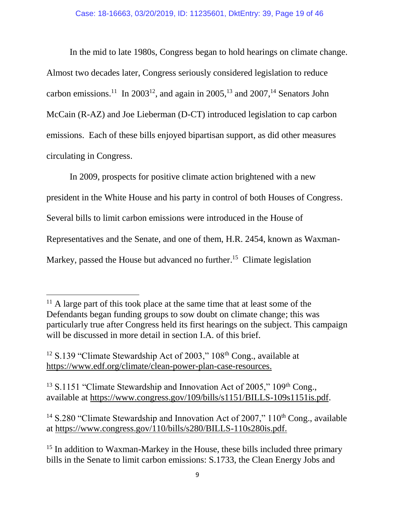In the mid to late 1980s, Congress began to hold hearings on climate change. Almost two decades later, Congress seriously considered legislation to reduce carbon emissions.<sup>11</sup> In 2003<sup>12</sup>, and again in 2005,<sup>13</sup> and 2007,<sup>14</sup> Senators John McCain (R-AZ) and Joe Lieberman (D-CT) introduced legislation to cap carbon emissions. Each of these bills enjoyed bipartisan support, as did other measures circulating in Congress.

In 2009, prospects for positive climate action brightened with a new president in the White House and his party in control of both Houses of Congress. Several bills to limit carbon emissions were introduced in the House of Representatives and the Senate, and one of them, H.R. 2454, known as Waxman-Markey, passed the House but advanced no further.<sup>15</sup> Climate legislation

 $\overline{\phantom{a}}$ 

 $13$  S.1151 "Climate Stewardship and Innovation Act of 2005," 109<sup>th</sup> Cong., available at [https://www.congress.gov/109/bills/s1151/BILLS-109s1151is.pdf.](https://www.congress.gov/109/bills/s1151/BILLS-109s1151is.pdf)

<sup>14</sup> S.280 "Climate Stewardship and Innovation Act of 2007,"  $110<sup>th</sup>$  Cong., available at [https://www.congress.gov/110/bills/s280/BILLS-110s280is.pdf.](https://www.congress.gov/110/bills/s280/BILLS-110s280is.pdf)

 $11$  A large part of this took place at the same time that at least some of the Defendants began funding groups to sow doubt on climate change; this was particularly true after Congress held its first hearings on the subject. This campaign will be discussed in more detail in section I.A. of this brief.

<sup>&</sup>lt;sup>12</sup> S.139 "Climate Stewardship Act of 2003,"  $108<sup>th</sup>$  Cong., available at [https://www.edf.org/climate/clean-power-plan-case-resources.](https://www.edf.org/climate/clean-power-plan-case-resources)

<sup>&</sup>lt;sup>15</sup> In addition to Waxman-Markey in the House, these bills included three primary bills in the Senate to limit carbon emissions: S.1733, the Clean Energy Jobs and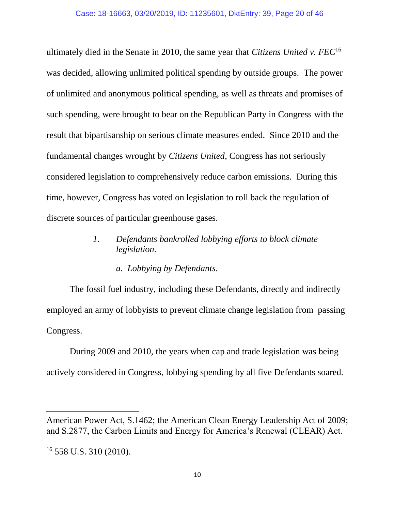ultimately died in the Senate in 2010, the same year that *Citizens United v. FEC*<sup>16</sup> was decided, allowing unlimited political spending by outside groups. The power of unlimited and anonymous political spending, as well as threats and promises of such spending, were brought to bear on the Republican Party in Congress with the result that bipartisanship on serious climate measures ended. Since 2010 and the fundamental changes wrought by *Citizens United*, Congress has not seriously considered legislation to comprehensively reduce carbon emissions. During this time, however, Congress has voted on legislation to roll back the regulation of discrete sources of particular greenhouse gases.

#### <span id="page-19-0"></span>*1. Defendants bankrolled lobbying efforts to block climate legislation.*

#### *a. Lobbying by Defendants.*

The fossil fuel industry, including these Defendants, directly and indirectly employed an army of lobbyists to prevent climate change legislation from passing Congress.

During 2009 and 2010, the years when cap and trade legislation was being actively considered in Congress, lobbying spending by all five Defendants soared.

 $\overline{a}$ 

American Power Act, S.1462; the American Clean Energy Leadership Act of 2009; and S.2877, the Carbon Limits and Energy for America's Renewal (CLEAR) Act.

 $16$  558 U.S. 310 (2010).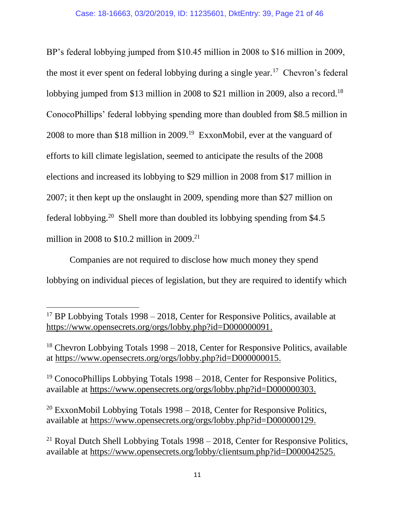BP's federal lobbying jumped from \$10.45 million in 2008 to \$16 million in 2009, the most it ever spent on federal lobbying during a single year.<sup>17</sup> Chevron's federal lobbying jumped from \$13 million in 2008 to \$21 million in 2009, also a record.<sup>18</sup> ConocoPhillips' federal lobbying spending more than doubled from \$8.5 million in 2008 to more than \$18 million in 2009.<sup>19</sup> ExxonMobil, ever at the vanguard of efforts to kill climate legislation, seemed to anticipate the results of the 2008 elections and increased its lobbying to \$29 million in 2008 from \$17 million in 2007; it then kept up the onslaught in 2009, spending more than \$27 million on federal lobbying.<sup>20</sup> Shell more than doubled its lobbying spending from \$4.5 million in 2008 to  $$10.2$  million in 2009.<sup>21</sup>

Companies are not required to disclose how much money they spend lobbying on individual pieces of legislation, but they are required to identify which

 $\overline{\phantom{a}}$ 

<sup>19</sup> ConocoPhillips Lobbying Totals 1998 – 2018, Center for Responsive Politics, available at [https://www.opensecrets.org/orgs/lobby.php?id=D000000303.](https://www.opensecrets.org/orgs/lobby.php?id=D000000303)

<sup>20</sup> ExxonMobil Lobbying Totals  $1998 - 2018$ , Center for Responsive Politics, available at [https://www.opensecrets.org/orgs/lobby.php?id=D000000129.](https://www.opensecrets.org/orgs/lobby.php?id=D000000129)

<sup>21</sup> Royal Dutch Shell Lobbying Totals  $1998 - 2018$ , Center for Responsive Politics, available at [https://www.opensecrets.org/lobby/clientsum.php?id=D000042525.](https://www.opensecrets.org/lobby/clientsum.php?id=D000042525)

<sup>&</sup>lt;sup>17</sup> BP Lobbying Totals  $1998 - 2018$ . Center for Responsive Politics, available at [https://www.opensecrets.org/orgs/lobby.php?id=D000000091.](https://www.opensecrets.org/orgs/lobby.php?id=D000000091)

 $18$  Chevron Lobbying Totals 1998 – 2018, Center for Responsive Politics, available at [https://www.opensecrets.org/orgs/lobby.php?id=D000000015.](https://www.opensecrets.org/orgs/lobby.php?id=D000000015)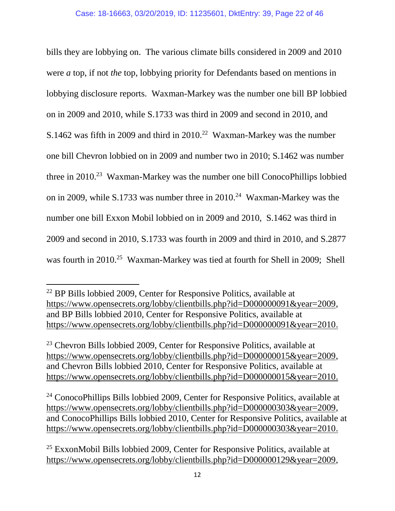bills they are lobbying on. The various climate bills considered in 2009 and 2010 were *a* top, if not *the* top, lobbying priority for Defendants based on mentions in lobbying disclosure reports. Waxman-Markey was the number one bill BP lobbied on in 2009 and 2010, while S.1733 was third in 2009 and second in 2010, and S.1462 was fifth in 2009 and third in  $2010<sup>22</sup>$  Waxman-Markey was the number one bill Chevron lobbied on in 2009 and number two in 2010; S.1462 was number three in 2010.<sup>23</sup> Waxman-Markey was the number one bill ConocoPhillips lobbied on in 2009, while S.1733 was number three in 2010.<sup>24</sup> Waxman-Markey was the number one bill Exxon Mobil lobbied on in 2009 and 2010, S.1462 was third in 2009 and second in 2010, S.1733 was fourth in 2009 and third in 2010, and S.2877 was fourth in 2010.<sup>25</sup> Waxman-Markey was tied at fourth for Shell in 2009; Shell

 $\overline{\phantom{a}}$ 

<sup>24</sup> ConocoPhillips Bills lobbied 2009, Center for Responsive Politics, available at [https://www.opensecrets.org/lobby/clientbills.php?id=D000000303&year=2009,](https://www.opensecrets.org/lobby/clientbills.php?id=D000000303&year=2009) and ConocoPhillips Bills lobbied 2010, Center for Responsive Politics, available at [https://www.opensecrets.org/lobby/clientbills.php?id=D000000303&year=2010.](https://www.opensecrets.org/lobby/clientbills.php?id=D000000303&year=2010)

<sup>22</sup> BP Bills lobbied 2009, Center for Responsive Politics, available at [https://www.opensecrets.org/lobby/clientbills.php?id=D000000091&year=2009,](https://www.opensecrets.org/lobby/clientbills.php?id=D000000091&year=2009) and BP Bills lobbied 2010, Center for Responsive Politics, available at [https://www.opensecrets.org/lobby/clientbills.php?id=D000000091&year=2010.](https://www.opensecrets.org/lobby/clientbills.php?id=D000000091&year=2010)

 $23$  Chevron Bills lobbied 2009, Center for Responsive Politics, available at [https://www.opensecrets.org/lobby/clientbills.php?id=D000000015&year=2009,](https://www.opensecrets.org/lobby/clientbills.php?id=D000000015&year=2009) and Chevron Bills lobbied 2010, Center for Responsive Politics, available at [https://www.opensecrets.org/lobby/clientbills.php?id=D000000015&year=2010.](https://www.opensecrets.org/lobby/clientbills.php?id=D000000015&year=2010)

<sup>25</sup> ExxonMobil Bills lobbied 2009, Center for Responsive Politics, available at [https://www.opensecrets.org/lobby/clientbills.php?id=D000000129&year=2009,](https://www.opensecrets.org/lobby/clientbills.php?id=D000000129&year=2009)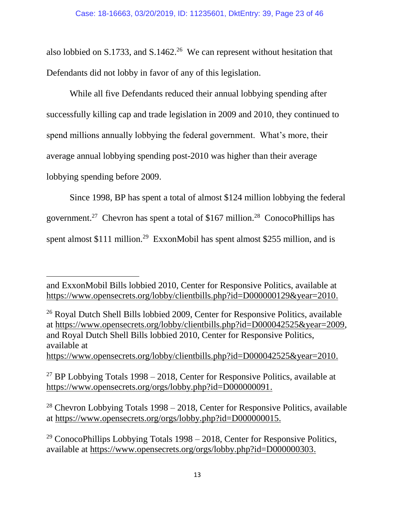also lobbied on S.1733, and S.1462.<sup>26</sup> We can represent without hesitation that Defendants did not lobby in favor of any of this legislation.

While all five Defendants reduced their annual lobbying spending after successfully killing cap and trade legislation in 2009 and 2010, they continued to spend millions annually lobbying the federal government. What's more, their average annual lobbying spending post-2010 was higher than their average lobbying spending before 2009.

Since 1998, BP has spent a total of almost \$124 million lobbying the federal government.<sup>27</sup> Chevron has spent a total of \$167 million.<sup>28</sup> ConocoPhillips has spent almost \$111 million.<sup>29</sup> ExxonMobil has spent almost \$255 million, and is

 $\overline{a}$ 

and ExxonMobil Bills lobbied 2010, Center for Responsive Politics, available at [https://www.opensecrets.org/lobby/clientbills.php?id=D000000129&year=2010.](https://www.opensecrets.org/lobby/clientbills.php?id=D000000129&year=2010)

<sup>26</sup> Royal Dutch Shell Bills lobbied 2009, Center for Responsive Politics, available at [https://www.opensecrets.org/lobby/clientbills.php?id=D000042525&year=2009,](https://www.opensecrets.org/lobby/clientbills.php?id=D000042525&year=2009) and Royal Dutch Shell Bills lobbied 2010, Center for Responsive Politics, available at [https://www.opensecrets.org/lobby/clientbills.php?id=D000042525&year=2010.](https://www.opensecrets.org/lobby/clientbills.php?id=D000042525&year=2010)

<sup>&</sup>lt;sup>27</sup> BP Lobbying Totals 1998 – 2018, Center for Responsive Politics, available at [https://www.opensecrets.org/orgs/lobby.php?id=D000000091.](https://www.opensecrets.org/orgs/lobby.php?id=D000000091)

<sup>&</sup>lt;sup>28</sup> Chevron Lobbying Totals  $1998 - 2018$ , Center for Responsive Politics, available at [https://www.opensecrets.org/orgs/lobby.php?id=D000000015.](https://www.opensecrets.org/orgs/lobby.php?id=D000000015)

<sup>&</sup>lt;sup>29</sup> ConocoPhillips Lobbying Totals  $1998 - 2018$ , Center for Responsive Politics, available at [https://www.opensecrets.org/orgs/lobby.php?id=D000000303.](https://www.opensecrets.org/orgs/lobby.php?id=D000000303)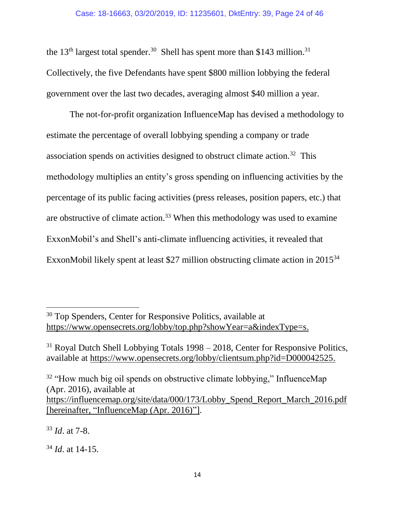the 13<sup>th</sup> largest total spender.<sup>30</sup> Shell has spent more than \$143 million.<sup>31</sup> Collectively, the five Defendants have spent \$800 million lobbying the federal government over the last two decades, averaging almost \$40 million a year.

The not-for-profit organization InfluenceMap has devised a methodology to estimate the percentage of overall lobbying spending a company or trade association spends on activities designed to obstruct climate action.<sup>32</sup> This methodology multiplies an entity's gross spending on influencing activities by the percentage of its public facing activities (press releases, position papers, etc.) that are obstructive of climate action.<sup>33</sup> When this methodology was used to examine ExxonMobil's and Shell's anti-climate influencing activities, it revealed that ExxonMobil likely spent at least \$27 million obstructing climate action in 2015<sup>34</sup>

<sup>33</sup> *Id*. at 7-8.

 $\overline{\phantom{a}}$ 

<sup>34</sup> *Id*. at 14-15.

<sup>&</sup>lt;sup>30</sup> Top Spenders, Center for Responsive Politics, available at [https://www.opensecrets.org/lobby/top.php?showYear=a&indexType=s.](https://www.opensecrets.org/lobby/top.php?showYear=a&indexType=s)

<sup>&</sup>lt;sup>31</sup> Royal Dutch Shell Lobbying Totals 1998 – 2018, Center for Responsive Politics, available at [https://www.opensecrets.org/lobby/clientsum.php?id=D000042525.](https://www.opensecrets.org/lobby/clientsum.php?id=D000042525)

<sup>&</sup>lt;sup>32</sup> "How much big oil spends on obstructive climate lobbying," InfluenceMap (Apr. 2016), available at [https://influencemap.org/site/data/000/173/Lobby\\_Spend\\_Report\\_March\\_2016.pdf](https://influencemap.org/site/data/000/173/Lobby_Spend_Report_March_2016.pdf%5bhereinafter) [\[hereinafter,](https://influencemap.org/site/data/000/173/Lobby_Spend_Report_March_2016.pdf%5bhereinafter) "InfluenceMap (Apr. 2016)"].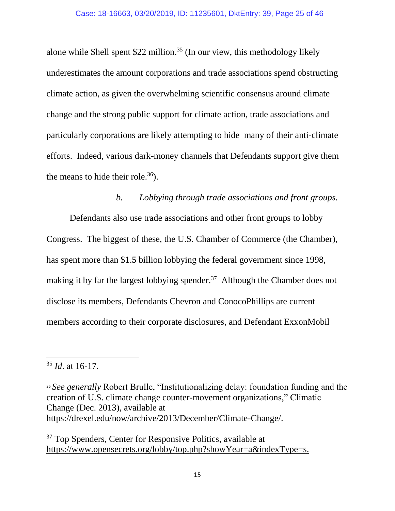alone while Shell spent  $$22$  million.<sup>35</sup> (In our view, this methodology likely underestimates the amount corporations and trade associations spend obstructing climate action, as given the overwhelming scientific consensus around climate change and the strong public support for climate action, trade associations and particularly corporations are likely attempting to hide many of their anti-climate efforts. Indeed, various dark-money channels that Defendants support give them the means to hide their role.<sup>36</sup>).

#### *b. Lobbying through trade associations and front groups.*

<span id="page-24-0"></span>Defendants also use trade associations and other front groups to lobby Congress. The biggest of these, the U.S. Chamber of Commerce (the Chamber), has spent more than \$1.5 billion lobbying the federal government since 1998, making it by far the largest lobbying spender.<sup>37</sup> Although the Chamber does not disclose its members, Defendants Chevron and ConocoPhillips are current members according to their corporate disclosures, and Defendant ExxonMobil

 $\overline{a}$ 

<sup>36</sup> *See generally* Robert Brulle, "Institutionalizing delay: foundation funding and the creation of U.S. climate change counter-movement organizations," Climatic Change (Dec. 2013), available at https://drexel.edu/now/archive/2013/December/Climate-Change/.

<sup>37</sup> Top Spenders, Center for Responsive Politics, available at [https://www.opensecrets.org/lobby/top.php?showYear=a&indexType=s.](https://www.opensecrets.org/lobby/top.php?showYear=a&indexType=s)

<sup>35</sup> *Id*. at 16-17.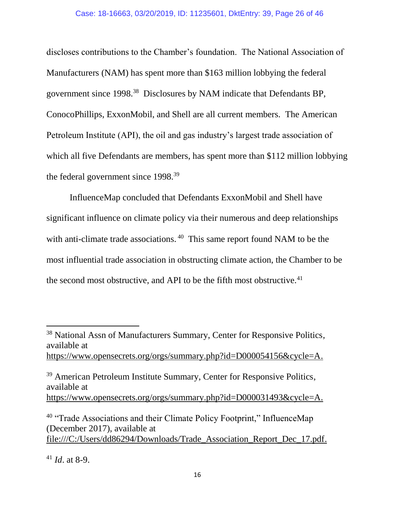discloses contributions to the Chamber's foundation. The National Association of Manufacturers (NAM) has spent more than \$163 million lobbying the federal government since 1998.<sup>38</sup> Disclosures by NAM indicate that Defendants BP, ConocoPhillips, ExxonMobil, and Shell are all current members. The American Petroleum Institute (API), the oil and gas industry's largest trade association of which all five Defendants are members, has spent more than \$112 million lobbying the federal government since 1998.<sup>39</sup>

InfluenceMap concluded that Defendants ExxonMobil and Shell have significant influence on climate policy via their numerous and deep relationships with anti-climate trade associations.<sup>40</sup> This same report found NAM to be the most influential trade association in obstructing climate action, the Chamber to be the second most obstructive, and API to be the fifth most obstructive.<sup>41</sup>

<sup>39</sup> American Petroleum Institute Summary, Center for Responsive Politics, available at [https://www.opensecrets.org/orgs/summary.php?id=D000031493&cycle=A.](https://www.opensecrets.org/orgs/summary.php?id=D000031493&cycle=A)

<sup>40</sup> "Trade Associations and their Climate Policy Footprint," InfluenceMap (December 2017), available at [file:///C:/Users/dd86294/Downloads/Trade\\_Association\\_Report\\_Dec\\_17.pdf.](file:///C:/Users/dd86294/Downloads/Trade_Association_Report_Dec_17.pdf)

<sup>38</sup> National Assn of Manufacturers Summary, Center for Responsive Politics, available at [https://www.opensecrets.org/orgs/summary.php?id=D000054156&cycle=A.](https://www.opensecrets.org/orgs/summary.php?id=D000054156&cycle=A)

<sup>41</sup> *Id*. at 8-9.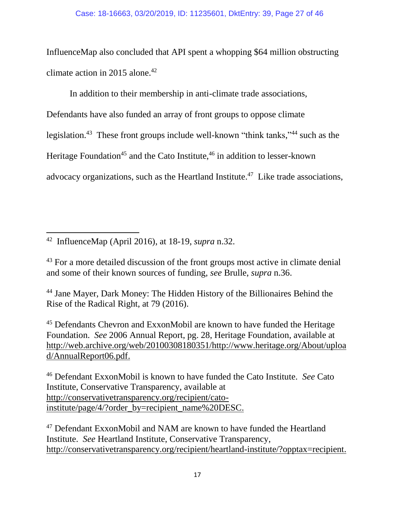InfluenceMap also concluded that API spent a whopping \$64 million obstructing climate action in 2015 alone. 42

In addition to their membership in anti-climate trade associations,

Defendants have also funded an array of front groups to oppose climate legislation.<sup>43</sup> These front groups include well-known "think tanks,"<sup>44</sup> such as the Heritage Foundation<sup>45</sup> and the Cato Institute, <sup>46</sup> in addition to lesser-known advocacy organizations, such as the Heartland Institute.<sup>47</sup> Like trade associations,

 $\overline{a}$ 42 InfluenceMap (April 2016), at 18-19, *supra* n.32.

<sup>43</sup> For a more detailed discussion of the front groups most active in climate denial and some of their known sources of funding, *see* Brulle, *supra* n.36.

<sup>44</sup> Jane Mayer, Dark Money: The Hidden History of the Billionaires Behind the Rise of the Radical Right, at 79 (2016).

<sup>45</sup> Defendants Chevron and ExxonMobil are known to have funded the Heritage Foundation. *See* 2006 Annual Report, pg. 28, Heritage Foundation, available at [http://web.archive.org/web/20100308180351/http://www.heritage.org/About/uploa](web.archive.org/web/20100308180351/http:/www.heritage.org/About/upload/AnnualReport06.pdf) [d/AnnualReport06.pdf.](web.archive.org/web/20100308180351/http:/www.heritage.org/About/upload/AnnualReport06.pdf)

<sup>46</sup> Defendant ExxonMobil is known to have funded the Cato Institute. *See* Cato Institute, Conservative Transparency, available at [http://conservativetransparency.org/recipient/cato](http://conservativetransparency.org/recipient/cato-institute/page/4/?order_by=recipient_name%20DESC)[institute/page/4/?order\\_by=recipient\\_name%20DESC.](http://conservativetransparency.org/recipient/cato-institute/page/4/?order_by=recipient_name%20DESC)

<sup>47</sup> Defendant ExxonMobil and NAM are known to have funded the Heartland Institute. *See* Heartland Institute, Conservative Transparency, [http://conservativetransparency.org/recipient/heartland-institute/?opptax=recipient.](http://conservativetransparency.org/recipient/heartland-institute/?opptax=recipient)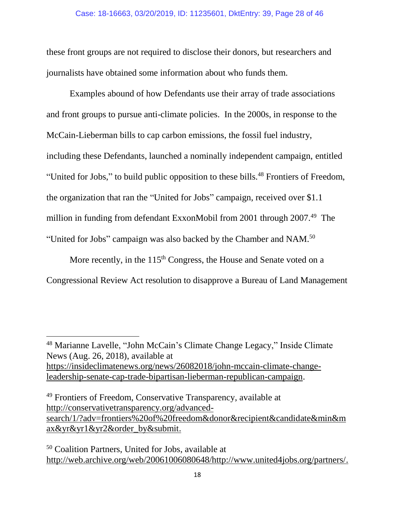these front groups are not required to disclose their donors, but researchers and journalists have obtained some information about who funds them.

Examples abound of how Defendants use their array of trade associations and front groups to pursue anti-climate policies. In the 2000s, in response to the McCain-Lieberman bills to cap carbon emissions, the fossil fuel industry, including these Defendants, launched a nominally independent campaign, entitled "United for Jobs," to build public opposition to these bills.<sup>48</sup> Frontiers of Freedom, the organization that ran the "United for Jobs" campaign, received over \$1.1 million in funding from defendant ExxonMobil from 2001 through 2007.<sup>49</sup> The "United for Jobs" campaign was also backed by the Chamber and NAM. $50$ 

More recently, in the  $115<sup>th</sup> Congress$ , the House and Senate voted on a Congressional Review Act resolution to disapprove a Bureau of Land Management

l

<sup>48</sup> Marianne Lavelle, "John McCain's Climate Change Legacy," Inside Climate News (Aug. 26, 2018), available at [https://insideclimatenews.org/news/26082018/john-mccain-climate-change](https://insideclimatenews.org/news/26082018/john-mccain-climate-change-leadership-senate-cap-trade-bipartisan-lieberman-republican-campaign)[leadership-senate-cap-trade-bipartisan-lieberman-republican-campaign.](https://insideclimatenews.org/news/26082018/john-mccain-climate-change-leadership-senate-cap-trade-bipartisan-lieberman-republican-campaign)

<sup>49</sup> Frontiers of Freedom, Conservative Transparency, available at [http://conservativetransparency.org/advanced](http://conservativetransparency.org/advanced-search/1/?adv=frontiers%20of%20freedom&donor&recipient&candidate&min&max&yr&yr1&yr2&order_by&submit)[search/1/?adv=frontiers%20of%20freedom&donor&recipient&candidate&min&m](http://conservativetransparency.org/advanced-search/1/?adv=frontiers%20of%20freedom&donor&recipient&candidate&min&max&yr&yr1&yr2&order_by&submit) [ax&yr&yr1&yr2&order\\_by&submit.](http://conservativetransparency.org/advanced-search/1/?adv=frontiers%20of%20freedom&donor&recipient&candidate&min&max&yr&yr1&yr2&order_by&submit)

<sup>50</sup> Coalition Partners, United for Jobs, available at [http://web.archive.org/web/20061006080648/http://www.united4jobs.org/partners/.](http://web.archive.org/web/20061006080648/http:/www.united4jobs.org/partners/)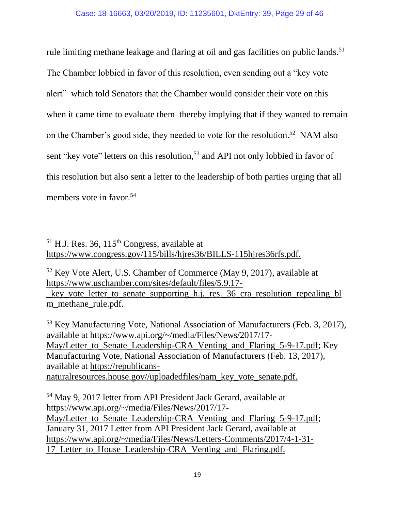rule limiting methane leakage and flaring at oil and gas facilities on public lands.<sup>51</sup> The Chamber lobbied in favor of this resolution, even sending out a "key vote alert" which told Senators that the Chamber would consider their vote on this when it came time to evaluate them–thereby implying that if they wanted to remain on the Chamber's good side, they needed to vote for the resolution.<sup>52</sup> NAM also sent "key vote" letters on this resolution,<sup>53</sup> and API not only lobbied in favor of this resolution but also sent a letter to the leadership of both parties urging that all members vote in favor.<sup>54</sup>

 $\overline{a}$ 

<sup>53</sup> Key Manufacturing Vote, National Association of Manufacturers (Feb. 3, 2017), available at [https://www.api.org/~/media/Files/News/2017/17-](https://www.api.org/~/media/Files/News/2017/17-May/Letter_to_Senate_Leadership-CRA_Venting_and_Flaring_5-9-17.pdf) May/Letter to Senate Leadership-CRA Venting and Flaring 5-9-17.pdf; Key Manufacturing Vote, National Association of Manufacturers (Feb. 13, 2017), available at [https://republicans](https://republicans-naturalresources.house.gov/uploadedfiles/nam_key_vote_senate.pdf)[naturalresources.house.gov//uploadedfiles/nam\\_key\\_vote\\_senate.pdf.](https://republicans-naturalresources.house.gov/uploadedfiles/nam_key_vote_senate.pdf)

<sup>54</sup> May 9, 2017 letter from API President Jack Gerard, available at [https://www.api.org/~/media/Files/News/2017/17-](https://www.api.org/~/media/Files/News/2017/17-May/Letter_to_Senate_Leadership-CRA_Venting_and_Flaring_5-9-17.pdf) [May/Letter\\_to\\_Senate\\_Leadership-CRA\\_Venting\\_and\\_Flaring\\_5-9-17.pdf;](https://www.api.org/~/media/Files/News/2017/17-May/Letter_to_Senate_Leadership-CRA_Venting_and_Flaring_5-9-17.pdf) January 31, 2017 Letter from API President Jack Gerard, available at [https://www.api.org/~/media/Files/News/Letters-Comments/2017/4-1-31-](https://www.api.org/~/media/Files/News/Letters-Comments/2017/4-1-31-17_Letter_to_House_Leadership-CRA_Venting_and_Flaring.pdf) [17\\_Letter\\_to\\_House\\_Leadership-CRA\\_Venting\\_and\\_Flaring.pdf.](https://www.api.org/~/media/Files/News/Letters-Comments/2017/4-1-31-17_Letter_to_House_Leadership-CRA_Venting_and_Flaring.pdf)

 $<sup>51</sup>$  H.J. Res. 36, 115<sup>th</sup> Congress, available at</sup> [https://www.congress.gov/115/bills/hjres36/BILLS-115hjres36rfs.pdf.](https://www.congress.gov/115/bills/hjres36/BILLS-115hjres36rfs.pdf)

<sup>52</sup> Key Vote Alert, U.S. Chamber of Commerce (May 9, 2017), available at [https://www.uschamber.com/sites/default/files/5.9.17-](https://www.uschamber.com/sites/default/files/5.9.17-_key_vote_letter_to_senate_supporting_h.j._res._36_cra_resolution_repealing_blm_methane_rule.pdf)

[\\_key\\_vote\\_letter\\_to\\_senate\\_supporting\\_h.j.\\_res.\\_36\\_cra\\_resolution\\_repealing\\_bl](https://www.uschamber.com/sites/default/files/5.9.17-_key_vote_letter_to_senate_supporting_h.j._res._36_cra_resolution_repealing_blm_methane_rule.pdf) [m\\_methane\\_rule.pdf.](https://www.uschamber.com/sites/default/files/5.9.17-_key_vote_letter_to_senate_supporting_h.j._res._36_cra_resolution_repealing_blm_methane_rule.pdf)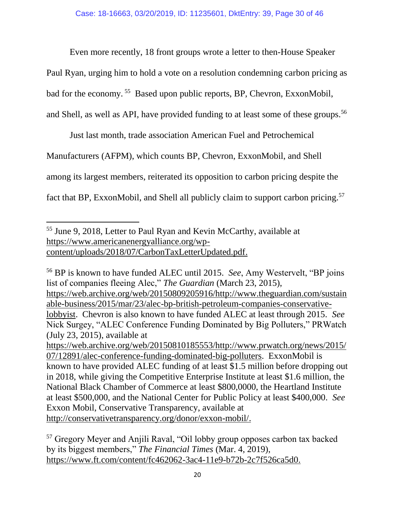Even more recently, 18 front groups wrote a letter to then-House Speaker

Paul Ryan, urging him to hold a vote on a resolution condemning carbon pricing as

bad for the economy. <sup>55</sup> Based upon public reports, BP, Chevron, ExxonMobil,

and Shell, as well as API, have provided funding to at least some of these groups.<sup>56</sup>

Just last month, trade association American Fuel and Petrochemical

Manufacturers (AFPM), which counts BP, Chevron, ExxonMobil, and Shell

among its largest members, reiterated its opposition to carbon pricing despite the

fact that BP, ExxonMobil, and Shell all publicly claim to support carbon pricing.<sup>57</sup>

 $\overline{\phantom{a}}$ <sup>55</sup> June 9, 2018, Letter to Paul Ryan and Kevin McCarthy, available at [https://www.americanenergyalliance.org/wp](https://www.americanenergyalliance.org/wp-content/uploads/2018/07/CarbonTaxLetterUpdated.pdf)[content/uploads/2018/07/CarbonTaxLetterUpdated.pdf.](https://www.americanenergyalliance.org/wp-content/uploads/2018/07/CarbonTaxLetterUpdated.pdf)

<sup>56</sup> BP is known to have funded ALEC until 2015. *See*, Amy Westervelt, "BP joins list of companies fleeing Alec," *The Guardian* (March 23, 2015), [https://web.archive.org/web/20150809205916/http://www.theguardian.com/sustain](https://web.archive.org/web/20150809205916/http:/www.theguardian.com/sustainable-business/2015/mar/23/alec-bp-british-petroleum-companies-conservative-lobbyist) [able-business/2015/mar/23/alec-bp-british-petroleum-companies-conservative](https://web.archive.org/web/20150809205916/http:/www.theguardian.com/sustainable-business/2015/mar/23/alec-bp-british-petroleum-companies-conservative-lobbyist)[lobbyist.](https://web.archive.org/web/20150809205916/http:/www.theguardian.com/sustainable-business/2015/mar/23/alec-bp-british-petroleum-companies-conservative-lobbyist) Chevron is also known to have funded ALEC at least through 2015. *See* Nick Surgey, "ALEC Conference Funding Dominated by Big Polluters," PRWatch (July 23, 2015), available at [https://web.archive.org/web/20150810185553/http://www.prwatch.org/news/2015/](https://web.archive.org/web/20150810185553/http:/www.prwatch.org/news/2015/07/12891/alec-conference-funding-dominated-big-polluters) [07/12891/alec-conference-funding-dominated-big-polluters.](https://web.archive.org/web/20150810185553/http:/www.prwatch.org/news/2015/07/12891/alec-conference-funding-dominated-big-polluters) ExxonMobil is known to have provided ALEC funding of at least \$1.5 million before dropping out in 2018, while giving the Competitive Enterprise Institute at least \$1.6 million, the

National Black Chamber of Commerce at least \$800,0000, the Heartland Institute at least \$500,000, and the National Center for Public Policy at least \$400,000. *See* Exxon Mobil, Conservative Transparency, available at [http://conservativetransparency.org/donor/exxon-mobil/.](http://conservativetransparency.org/donor/exxon-mobil/)

<sup>57</sup> Gregory Meyer and Anjili Raval, "Oil lobby group opposes carbon tax backed by its biggest members," *The Financial Times* (Mar. 4, 2019), [https://www.ft.com/content/fc462062-3ac4-11e9-b72b-2c7f526ca5d0.](https://www.ft.com/content/fc462062-3ac4-11e9-b72b-2c7f526ca5d0)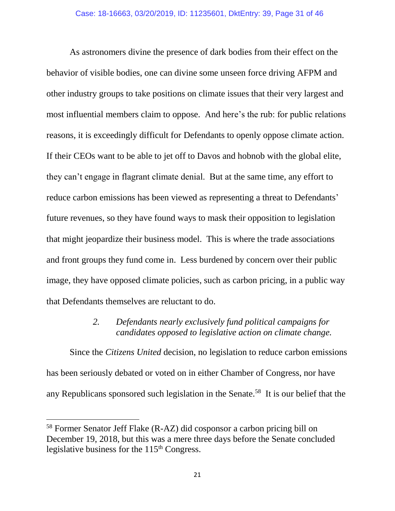As astronomers divine the presence of dark bodies from their effect on the behavior of visible bodies, one can divine some unseen force driving AFPM and other industry groups to take positions on climate issues that their very largest and most influential members claim to oppose. And here's the rub: for public relations reasons, it is exceedingly difficult for Defendants to openly oppose climate action. If their CEOs want to be able to jet off to Davos and hobnob with the global elite, they can't engage in flagrant climate denial. But at the same time, any effort to reduce carbon emissions has been viewed as representing a threat to Defendants' future revenues, so they have found ways to mask their opposition to legislation that might jeopardize their business model. This is where the trade associations and front groups they fund come in. Less burdened by concern over their public image, they have opposed climate policies, such as carbon pricing, in a public way that Defendants themselves are reluctant to do.

#### *2. Defendants nearly exclusively fund political campaigns for candidates opposed to legislative action on climate change.*

<span id="page-30-0"></span>Since the *Citizens United* decision, no legislation to reduce carbon emissions has been seriously debated or voted on in either Chamber of Congress, nor have any Republicans sponsored such legislation in the Senate.<sup>58</sup> It is our belief that the

<sup>58</sup> Former Senator Jeff Flake (R-AZ) did cosponsor a carbon pricing bill on December 19, 2018, but this was a mere three days before the Senate concluded legislative business for the 115<sup>th</sup> Congress.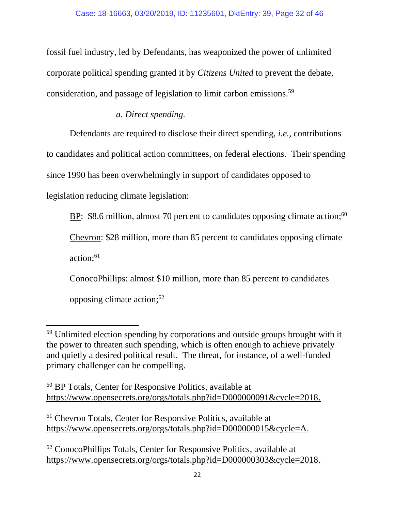fossil fuel industry, led by Defendants, has weaponized the power of unlimited corporate political spending granted it by *Citizens United* to prevent the debate, consideration, and passage of legislation to limit carbon emissions.<sup>59</sup>

### *a. Direct spending.*

Defendants are required to disclose their direct spending, *i.e.,* contributions to candidates and political action committees, on federal elections. Their spending since 1990 has been overwhelmingly in support of candidates opposed to legislation reducing climate legislation:

 $BP:$  \$8.6 million, almost 70 percent to candidates opposing climate action;  $60$ 

Chevron: \$28 million, more than 85 percent to candidates opposing climate

action; 61

 $\overline{\phantom{a}}$ 

ConocoPhillips: almost \$10 million, more than 85 percent to candidates opposing climate action; 62

<sup>&</sup>lt;sup>59</sup> Unlimited election spending by corporations and outside groups brought with it the power to threaten such spending, which is often enough to achieve privately and quietly a desired political result. The threat, for instance, of a well-funded primary challenger can be compelling.

<sup>60</sup> BP Totals, Center for Responsive Politics, available at [https://www.opensecrets.org/orgs/totals.php?id=D000000091&cycle=2018.](https://www.opensecrets.org/orgs/totals.php?id=D000000091&cycle=2018)

<sup>61</sup> Chevron Totals, Center for Responsive Politics, available at [https://www.opensecrets.org/orgs/totals.php?id=D000000015&cycle=A.](https://www.opensecrets.org/orgs/totals.php?id=D000000015&cycle=A)

<sup>62</sup> ConocoPhillips Totals, Center for Responsive Politics, available at [https://www.opensecrets.org/orgs/totals.php?id=D000000303&cycle=2018.](https://www.opensecrets.org/orgs/totals.php?id=D000000303&cycle=2018)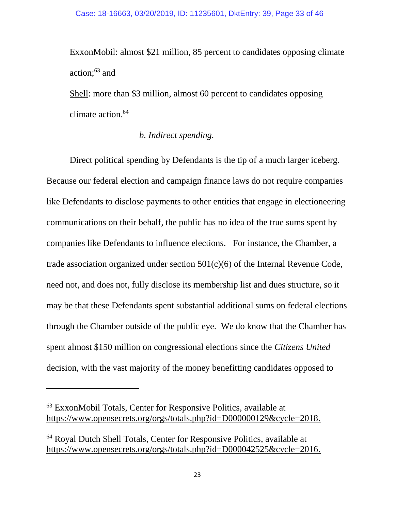ExxonMobil: almost \$21 million, 85 percent to candidates opposing climate action; <sup>63</sup> and

Shell: more than \$3 million, almost 60 percent to candidates opposing climate action. 64

#### *b. Indirect spending.*

Direct political spending by Defendants is the tip of a much larger iceberg. Because our federal election and campaign finance laws do not require companies like Defendants to disclose payments to other entities that engage in electioneering communications on their behalf, the public has no idea of the true sums spent by companies like Defendants to influence elections. For instance, the Chamber, a trade association organized under section 501(c)(6) of the Internal Revenue Code, need not, and does not, fully disclose its membership list and dues structure, so it may be that these Defendants spent substantial additional sums on federal elections through the Chamber outside of the public eye. We do know that the Chamber has spent almost \$150 million on congressional elections since the *Citizens United* decision, with the vast majority of the money benefitting candidates opposed to

 $\overline{a}$ 

<sup>63</sup> ExxonMobil Totals, Center for Responsive Politics, available at [https://www.opensecrets.org/orgs/totals.php?id=D000000129&cycle=2018.](https://www.opensecrets.org/orgs/totals.php?id=D000000129&cycle=2018)

<sup>64</sup> Royal Dutch Shell Totals, Center for Responsive Politics, available at [https://www.opensecrets.org/orgs/totals.php?id=D000042525&cycle=2016.](https://www.opensecrets.org/orgs/totals.php?id=D000042525&cycle=2016)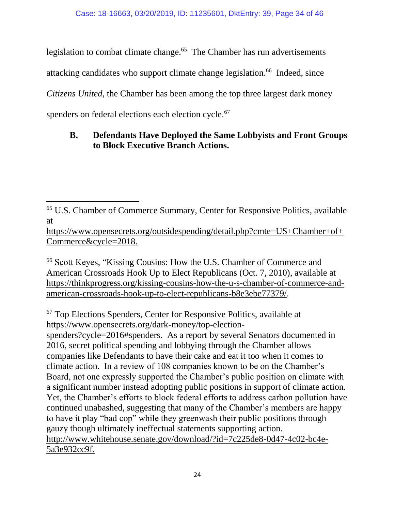legislation to combat climate change.<sup>65</sup> The Chamber has run advertisements

attacking candidates who support climate change legislation.<sup>66</sup> Indeed, since

*Citizens United*, the Chamber has been among the top three largest dark money

<span id="page-33-0"></span>spenders on federal elections each election cycle.<sup>67</sup>

# **B. Defendants Have Deployed the Same Lobbyists and Front Groups to Block Executive Branch Actions.**

[https://www.opensecrets.org/outsidespending/detail.php?cmte=US+Chamber+of+](https://www.opensecrets.org/outsidespending/detail.php?cmte=US+Chamber+of+Commerce&cycle=2018) [Commerce&cycle=2018.](https://www.opensecrets.org/outsidespending/detail.php?cmte=US+Chamber+of+Commerce&cycle=2018)

<sup>66</sup> Scott Keyes, "Kissing Cousins: How the U.S. Chamber of Commerce and American Crossroads Hook Up to Elect Republicans (Oct. 7, 2010), available at [https://thinkprogress.org/kissing-cousins-how-the-u-s-chamber-of-commerce-and](https://thinkprogress.org/kissing-cousins-how-the-u-s-chamber-of-commerce-and-american-crossroads-hook-up-to-elect-republicans-b8e3ebe77379/)[american-crossroads-hook-up-to-elect-republicans-b8e3ebe77379/.](https://thinkprogress.org/kissing-cousins-how-the-u-s-chamber-of-commerce-and-american-crossroads-hook-up-to-elect-republicans-b8e3ebe77379/)

<sup>67</sup> Top Elections Spenders, Center for Responsive Politics, available at [https://www.opensecrets.org/dark-money/top-election-](https://www.opensecrets.org/dark-money/top-election-spenders?cycle=2016#spenders)

[spenders?cycle=2016#spenders.](https://www.opensecrets.org/dark-money/top-election-spenders?cycle=2016#spenders) As a report by several Senators documented in 2016, secret political spending and lobbying through the Chamber allows companies like Defendants to have their cake and eat it too when it comes to climate action. In a review of 108 companies known to be on the Chamber's Board, not one expressly supported the Chamber's public position on climate with a significant number instead adopting public positions in support of climate action. Yet, the Chamber's efforts to block federal efforts to address carbon pollution have continued unabashed, suggesting that many of the Chamber's members are happy to have it play "bad cop" while they greenwash their public positions through gauzy though ultimately ineffectual statements supporting action. [http://www.whitehouse.senate.gov/download/?id=7c225de8-0d47-4c02-bc4e-](http://www.whitehouse.senate.gov/download/?id=7c225de8-0d47-4c02-bc4e-5a3e932cc9f)[5a3e932cc9f.](http://www.whitehouse.senate.gov/download/?id=7c225de8-0d47-4c02-bc4e-5a3e932cc9f)

 $\overline{a}$ <sup>65</sup> U.S. Chamber of Commerce Summary, Center for Responsive Politics, available at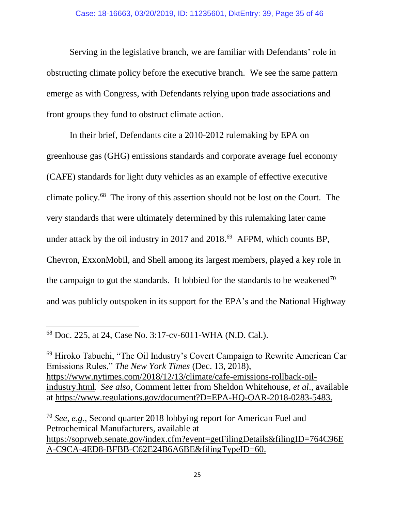Serving in the legislative branch, we are familiar with Defendants' role in obstructing climate policy before the executive branch. We see the same pattern emerge as with Congress, with Defendants relying upon trade associations and front groups they fund to obstruct climate action.

In their brief, Defendants cite a 2010-2012 rulemaking by EPA on greenhouse gas (GHG) emissions standards and corporate average fuel economy (CAFE) standards for light duty vehicles as an example of effective executive climate policy.<sup>68</sup> The irony of this assertion should not be lost on the Court. The very standards that were ultimately determined by this rulemaking later came under attack by the oil industry in 2017 and 2018.<sup>69</sup> AFPM, which counts BP, Chevron, ExxonMobil, and Shell among its largest members, played a key role in the campaign to gut the standards. It lobbied for the standards to be weakened<sup>70</sup> and was publicly outspoken in its support for the EPA's and the National Highway

 $\overline{\phantom{a}}$ <sup>68</sup> Doc. 225, at 24, Case No. 3:17-cv-6011-WHA (N.D. Cal.).

<sup>69</sup> Hiroko Tabuchi, "The Oil Industry's Covert Campaign to Rewrite American Car Emissions Rules," *The New York Times* (Dec. 13, 2018), [https://www.nytimes.com/2018/12/13/climate/cafe-emissions-rollback-oil](https://www.nytimes.com/2018/12/13/climate/cafe-emissions-rollback-oil-industry.html)[industry.html](https://www.nytimes.com/2018/12/13/climate/cafe-emissions-rollback-oil-industry.html). *See also*, Comment letter from Sheldon Whitehouse, *et al*., available at [https://www.regulations.gov/document?D=EPA-HQ-OAR-2018-0283-5483.](https://www.regulations.gov/document?D=EPA-HQ-OAR-2018-0283-5483)

<sup>70</sup> *See*, *e.g*., Second quarter 2018 lobbying report for American Fuel and Petrochemical Manufacturers, available at [https://soprweb.senate.gov/index.cfm?event=getFilingDetails&filingID=764C96E](https://soprweb.senate.gov/index.cfm?event=getFilingDetails&filingID=764C96EA-C9CA-4ED8-BFBB-C62E24B6A6BE&filingTypeID=60) [A-C9CA-4ED8-BFBB-C62E24B6A6BE&filingTypeID=60.](https://soprweb.senate.gov/index.cfm?event=getFilingDetails&filingID=764C96EA-C9CA-4ED8-BFBB-C62E24B6A6BE&filingTypeID=60)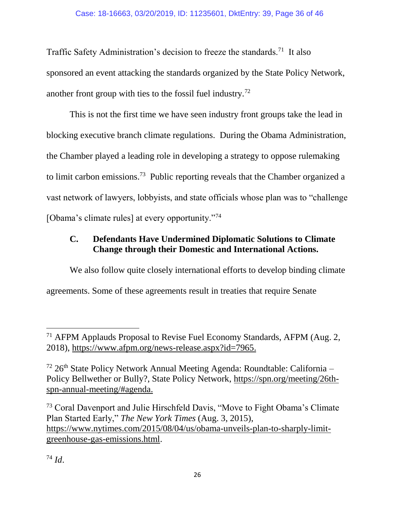Traffic Safety Administration's decision to freeze the standards.<sup>71</sup> It also sponsored an event attacking the standards organized by the State Policy Network, another front group with ties to the fossil fuel industry.<sup>72</sup>

This is not the first time we have seen industry front groups take the lead in blocking executive branch climate regulations. During the Obama Administration, the Chamber played a leading role in developing a strategy to oppose rulemaking to limit carbon emissions.<sup>73</sup> Public reporting reveals that the Chamber organized a vast network of lawyers, lobbyists, and state officials whose plan was to "challenge [Obama's climate rules] at every opportunity."<sup>74</sup>

## <span id="page-35-0"></span>**C. Defendants Have Undermined Diplomatic Solutions to Climate Change through their Domestic and International Actions.**

We also follow quite closely international efforts to develop binding climate agreements. Some of these agreements result in treaties that require Senate

<sup>74</sup> *Id*.

<sup>71</sup> AFPM Applauds Proposal to Revise Fuel Economy Standards, AFPM (Aug. 2, 2018), [https://www.afpm.org/news-release.aspx?id=7965.](https://www.afpm.org/news-release.aspx?id=7965)

 $72$  26<sup>th</sup> State Policy Network Annual Meeting Agenda: Roundtable: California – Policy Bellwether or Bully?, State Policy Network, [https://spn.org/meeting/26th](https://spn.org/meeting/26th-spn-annual-meeting/#agenda)[spn-annual-meeting/#agenda.](https://spn.org/meeting/26th-spn-annual-meeting/#agenda)

<sup>73</sup> Coral Davenport and Julie Hirschfeld Davis, "Move to Fight Obama's Climate Plan Started Early," *The New York Times* (Aug. 3, 2015), [https://www.nytimes.com/2015/08/04/us/obama-unveils-plan-to-sharply-limit](https://www.nytimes.com/2015/08/04/us/obama-unveils-plan-to-sharply-limit-greenhouse-gas-emissions.html)[greenhouse-gas-emissions.html.](https://www.nytimes.com/2015/08/04/us/obama-unveils-plan-to-sharply-limit-greenhouse-gas-emissions.html)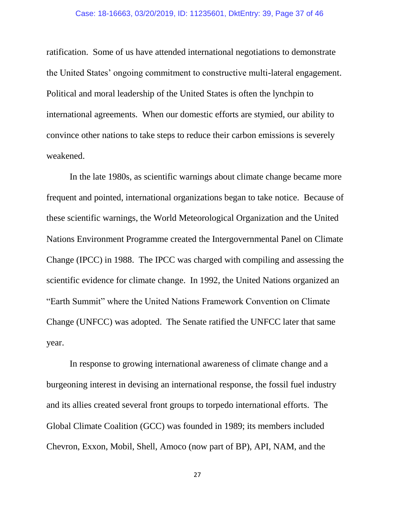ratification. Some of us have attended international negotiations to demonstrate the United States' ongoing commitment to constructive multi-lateral engagement. Political and moral leadership of the United States is often the lynchpin to international agreements. When our domestic efforts are stymied, our ability to convince other nations to take steps to reduce their carbon emissions is severely weakened.

In the late 1980s, as scientific warnings about climate change became more frequent and pointed, international organizations began to take notice. Because of these scientific warnings, the World Meteorological Organization and the United Nations Environment Programme created the Intergovernmental Panel on Climate Change (IPCC) in 1988. The IPCC was charged with compiling and assessing the scientific evidence for climate change. In 1992, the United Nations organized an "Earth Summit" where the United Nations Framework Convention on Climate Change (UNFCC) was adopted. The Senate ratified the UNFCC later that same year.

In response to growing international awareness of climate change and a burgeoning interest in devising an international response, the fossil fuel industry and its allies created several front groups to torpedo international efforts. The Global Climate Coalition (GCC) was founded in 1989; its members included Chevron, Exxon, Mobil, Shell, Amoco (now part of BP), API, NAM, and the

27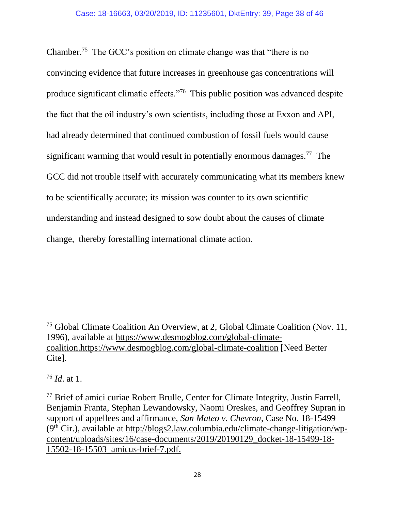Chamber.<sup>75</sup> The GCC's position on climate change was that "there is no convincing evidence that future increases in greenhouse gas concentrations will produce significant climatic effects."<sup>76</sup> This public position was advanced despite the fact that the oil industry's own scientists, including those at Exxon and API, had already determined that continued combustion of fossil fuels would cause significant warming that would result in potentially enormous damages.<sup>77</sup> The GCC did not trouble itself with accurately communicating what its members knew to be scientifically accurate; its mission was counter to its own scientific understanding and instead designed to sow doubt about the causes of climate change, thereby forestalling international climate action.

<sup>76</sup> *Id*. at 1.

<sup>75</sup> Global Climate Coalition An Overview, at 2, Global Climate Coalition (Nov. 11, 1996), available at [https://www.desmogblog.com/global-climate](https://www.desmogblog.com/global-climate-coalition)[coalition.https://www.desmogblog.com/global-climate-coalition](https://www.desmogblog.com/global-climate-coalition) [Need Better Cite].

<sup>&</sup>lt;sup>77</sup> Brief of amici curiae Robert Brulle, Center for Climate Integrity, Justin Farrell, Benjamin Franta, Stephan Lewandowsky, Naomi Oreskes, and Geoffrey Supran in support of appellees and affirmance, *San Mateo v. Chevron*, Case No. 18-15499  $(9<sup>th</sup> Cir.)$ , available at [http://blogs2.law.columbia.edu/climate-change-litigation/wp](blogs2.law.columbia.edu/climate-change-litigation/wp-content/uploads/sites/16/case-documents/2019/20190129_docket-18-15499-18-15502-18-15503_amicus-brief-7.pdf)[content/uploads/sites/16/case-documents/2019/20190129\\_docket-18-15499-18-](blogs2.law.columbia.edu/climate-change-litigation/wp-content/uploads/sites/16/case-documents/2019/20190129_docket-18-15499-18-15502-18-15503_amicus-brief-7.pdf) [15502-18-15503\\_amicus-brief-7.pdf.](blogs2.law.columbia.edu/climate-change-litigation/wp-content/uploads/sites/16/case-documents/2019/20190129_docket-18-15499-18-15502-18-15503_amicus-brief-7.pdf)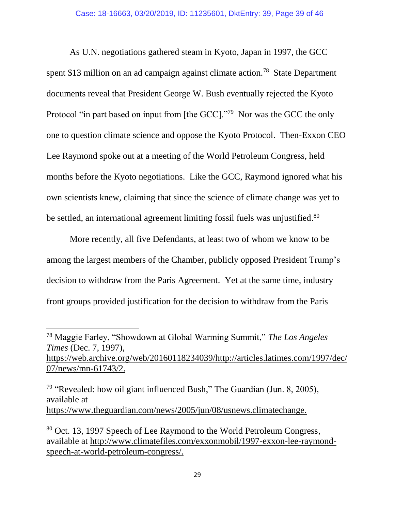As U.N. negotiations gathered steam in Kyoto, Japan in 1997, the GCC spent \$13 million on an ad campaign against climate action.<sup>78</sup> State Department documents reveal that President George W. Bush eventually rejected the Kyoto Protocol "in part based on input from [the GCC]."<sup>79</sup> Nor was the GCC the only one to question climate science and oppose the Kyoto Protocol. Then-Exxon CEO Lee Raymond spoke out at a meeting of the World Petroleum Congress, held months before the Kyoto negotiations. Like the GCC, Raymond ignored what his own scientists knew, claiming that since the science of climate change was yet to be settled, an international agreement limiting fossil fuels was unjustified.<sup>80</sup>

More recently, all five Defendants, at least two of whom we know to be among the largest members of the Chamber, publicly opposed President Trump's decision to withdraw from the Paris Agreement. Yet at the same time, industry front groups provided justification for the decision to withdraw from the Paris

<sup>78</sup> Maggie Farley, "Showdown at Global Warming Summit," *The Los Angeles Times* (Dec. 7, 1997), [https://web.archive.org/web/20160118234039/http://articles.latimes.com/1997/dec/](https://web.archive.org/web/20160118234039/http:/articles.latimes.com/1997/dec/07/news/mn-61743/2) [07/news/mn-61743/2.](https://web.archive.org/web/20160118234039/http:/articles.latimes.com/1997/dec/07/news/mn-61743/2)

<sup>&</sup>lt;sup>79</sup> "Revealed: how oil giant influenced Bush," The Guardian (Jun. 8, 2005), available at [https://www.theguardian.com/news/2005/jun/08/usnews.climatechange.](https://www.theguardian.com/news/2005/jun/08/usnews.climatechange)

<sup>80</sup> Oct. 13, 1997 Speech of Lee Raymond to the World Petroleum Congress, available at [http://www.climatefiles.com/exxonmobil/1997-exxon-lee-raymond](http://www.climatefiles.com/exxonmobil/1997-exxon-lee-raymond-speech-at-world-petroleum-congress/)[speech-at-world-petroleum-congress/.](http://www.climatefiles.com/exxonmobil/1997-exxon-lee-raymond-speech-at-world-petroleum-congress/)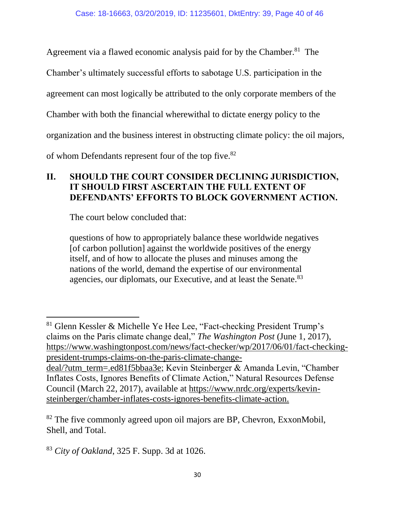Agreement via a flawed economic analysis paid for by the Chamber.<sup>81</sup> The

Chamber's ultimately successful efforts to sabotage U.S. participation in the

agreement can most logically be attributed to the only corporate members of the

Chamber with both the financial wherewithal to dictate energy policy to the

organization and the business interest in obstructing climate policy: the oil majors,

of whom Defendants represent four of the top five.<sup>82</sup>

#### <span id="page-39-0"></span>**II. SHOULD THE COURT CONSIDER DECLINING JURISDICTION, IT SHOULD FIRST ASCERTAIN THE FULL EXTENT OF DEFENDANTS' EFFORTS TO BLOCK GOVERNMENT ACTION.**

The court below concluded that:

 $\overline{\phantom{a}}$ 

questions of how to appropriately balance these worldwide negatives [of carbon pollution] against the worldwide positives of the energy itself, and of how to allocate the pluses and minuses among the nations of the world, demand the expertise of our environmental agencies, our diplomats, our Executive, and at least the Senate.<sup>83</sup>

<sup>81</sup> Glenn Kessler & Michelle Ye Hee Lee, "Fact-checking President Trump's claims on the Paris climate change deal," *The Washington Post* (June 1, 2017), [https://www.washingtonpost.com/news/fact-checker/wp/2017/06/01/fact-checking](https://www.washingtonpost.com/news/fact-checker/wp/2017/06/01/fact-checking-president-trumps-claims-on-the-paris-climate-change-deal/?utm_term=.ed81f5bbaa3e)[president-trumps-claims-on-the-paris-climate-change](https://www.washingtonpost.com/news/fact-checker/wp/2017/06/01/fact-checking-president-trumps-claims-on-the-paris-climate-change-deal/?utm_term=.ed81f5bbaa3e)[deal/?utm\\_term=.ed81f5bbaa3e;](https://www.washingtonpost.com/news/fact-checker/wp/2017/06/01/fact-checking-president-trumps-claims-on-the-paris-climate-change-deal/?utm_term=.ed81f5bbaa3e) Kevin Steinberger & Amanda Levin, "Chamber Inflates Costs, Ignores Benefits of Climate Action," Natural Resources Defense Council (March 22, 2017), available at [https://www.nrdc.org/experts/kevin](https://www.nrdc.org/experts/kevin-steinberger/chamber-inflates-costs-ignores-benefits-climate-action)[steinberger/chamber-inflates-costs-ignores-benefits-climate-action.](https://www.nrdc.org/experts/kevin-steinberger/chamber-inflates-costs-ignores-benefits-climate-action)

 $82$  The five commonly agreed upon oil majors are BP, Chevron, ExxonMobil, Shell, and Total.

<sup>83</sup> *City of Oakland*, 325 F. Supp. 3d at 1026.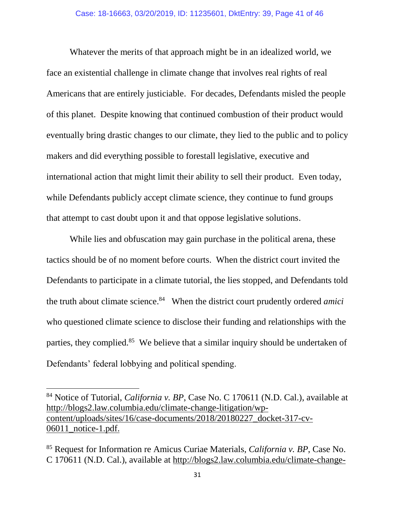Whatever the merits of that approach might be in an idealized world, we face an existential challenge in climate change that involves real rights of real Americans that are entirely justiciable. For decades, Defendants misled the people of this planet. Despite knowing that continued combustion of their product would eventually bring drastic changes to our climate, they lied to the public and to policy makers and did everything possible to forestall legislative, executive and international action that might limit their ability to sell their product. Even today, while Defendants publicly accept climate science, they continue to fund groups that attempt to cast doubt upon it and that oppose legislative solutions.

While lies and obfuscation may gain purchase in the political arena, these tactics should be of no moment before courts. When the district court invited the Defendants to participate in a climate tutorial, the lies stopped, and Defendants told the truth about climate science.<sup>84</sup> When the district court prudently ordered *amici* who questioned climate science to disclose their funding and relationships with the parties, they complied.<sup>85</sup> We believe that a similar inquiry should be undertaken of Defendants' federal lobbying and political spending.

 $\overline{a}$ 

<sup>84</sup> Notice of Tutorial, *California v. BP*, Case No. C 170611 (N.D. Cal.), available at [http://blogs2.law.columbia.edu/climate-change-litigation/wp](blogs2.law.columbia.edu/climate-change-litigation/wp-content/uploads/sites/16/case-documents/2018/20180227_docket-317-cv-06011_notice-1.pdf)[content/uploads/sites/16/case-documents/2018/20180227\\_docket-317-cv-](blogs2.law.columbia.edu/climate-change-litigation/wp-content/uploads/sites/16/case-documents/2018/20180227_docket-317-cv-06011_notice-1.pdf)[06011\\_notice-1.pdf.](blogs2.law.columbia.edu/climate-change-litigation/wp-content/uploads/sites/16/case-documents/2018/20180227_docket-317-cv-06011_notice-1.pdf)

<sup>85</sup> Request for Information re Amicus Curiae Materials, *California v. BP*, Case No. C 170611 (N.D. Cal.), available at [http://blogs2.law.columbia.edu/climate-change-](blogs2.law.columbia.edu/climate-change-litigation/wp-content/uploads/sites/16/case-documents/2018/20180319_docket-317-cv-06011_request-1.pdf)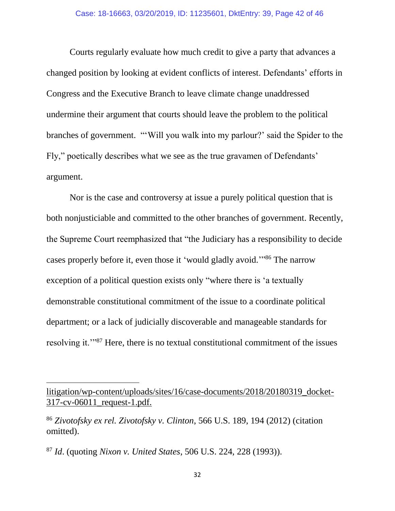Courts regularly evaluate how much credit to give a party that advances a changed position by looking at evident conflicts of interest. Defendants' efforts in Congress and the Executive Branch to leave climate change unaddressed undermine their argument that courts should leave the problem to the political branches of government. "'Will you walk into my parlour?' said the Spider to the Fly," poetically describes what we see as the true gravamen of Defendants' argument.

Nor is the case and controversy at issue a purely political question that is both nonjusticiable and committed to the other branches of government. Recently, the Supreme Court reemphasized that "the Judiciary has a responsibility to decide cases properly before it, even those it 'would gladly avoid."<sup>86</sup> The narrow exception of a political question exists only "where there is 'a textually demonstrable constitutional commitment of the issue to a coordinate political department; or a lack of judicially discoverable and manageable standards for resolving it.'"<sup>87</sup> Here, there is no textual constitutional commitment of the issues

[litigation/wp-content/uploads/sites/16/case-documents/2018/20180319\\_docket-](blogs2.law.columbia.edu/climate-change-litigation/wp-content/uploads/sites/16/case-documents/2018/20180319_docket-317-cv-06011_request-1.pdf)[317-cv-06011\\_request-1.pdf.](blogs2.law.columbia.edu/climate-change-litigation/wp-content/uploads/sites/16/case-documents/2018/20180319_docket-317-cv-06011_request-1.pdf)

<sup>86</sup> *Zivotofsky ex rel. Zivotofsky v. Clinton*, 566 U.S. 189, 194 (2012) (citation omitted).

<sup>87</sup> *Id*. (quoting *Nixon v. United States*, 506 U.S. 224, 228 (1993)).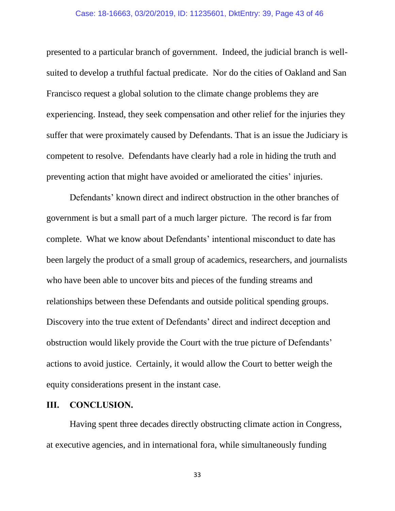#### Case: 18-16663, 03/20/2019, ID: 11235601, DktEntry: 39, Page 43 of 46

presented to a particular branch of government. Indeed, the judicial branch is wellsuited to develop a truthful factual predicate. Nor do the cities of Oakland and San Francisco request a global solution to the climate change problems they are experiencing. Instead, they seek compensation and other relief for the injuries they suffer that were proximately caused by Defendants. That is an issue the Judiciary is competent to resolve. Defendants have clearly had a role in hiding the truth and preventing action that might have avoided or ameliorated the cities' injuries.

Defendants' known direct and indirect obstruction in the other branches of government is but a small part of a much larger picture. The record is far from complete. What we know about Defendants' intentional misconduct to date has been largely the product of a small group of academics, researchers, and journalists who have been able to uncover bits and pieces of the funding streams and relationships between these Defendants and outside political spending groups. Discovery into the true extent of Defendants' direct and indirect deception and obstruction would likely provide the Court with the true picture of Defendants' actions to avoid justice. Certainly, it would allow the Court to better weigh the equity considerations present in the instant case.

#### <span id="page-42-0"></span>**III. CONCLUSION.**

Having spent three decades directly obstructing climate action in Congress, at executive agencies, and in international fora, while simultaneously funding

33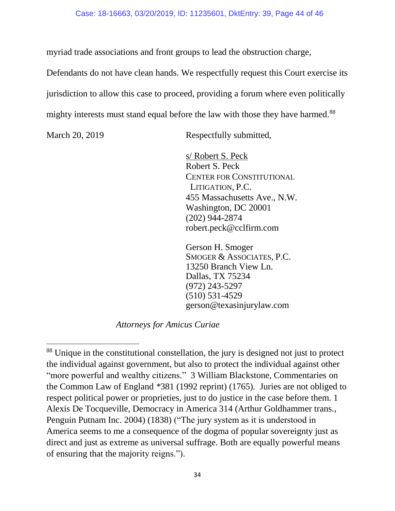#### Case: 18-16663, 03/20/2019, ID: 11235601, DktEntry: 39, Page 44 of 46

myriad trade associations and front groups to lead the obstruction charge,

Defendants do not have clean hands. We respectfully request this Court exercise its jurisdiction to allow this case to proceed, providing a forum where even politically mighty interests must stand equal before the law with those they have harmed.<sup>88</sup>

 $\overline{a}$ 

March 20, 2019 Respectfully submitted,

s/ Robert S. Peck Robert S. Peck CENTER FOR CONSTITUTIONAL LITIGATION, P.C. 455 Massachusetts Ave., N.W. Washington, DC 20001 (202) 944-2874 robert.peck@cclfirm.com

Gerson H. Smoger SMOGER & ASSOCIATES, P.C. 13250 Branch View Ln. Dallas, TX 75234 (972) 243-5297 (510) 531-4529 gerson@texasinjurylaw.com

*Attorneys for Amicus Curiae*

<sup>88</sup> Unique in the constitutional constellation, the jury is designed not just to protect the individual against government, but also to protect the individual against other "more powerful and wealthy citizens." 3 William Blackstone, Commentaries on the Common Law of England *\**381 (1992 reprint) (1765)*.* Juries are not obliged to respect political power or proprieties, just to do justice in the case before them. 1 Alexis De Tocqueville, Democracy in America 314 (Arthur Goldhammer trans., Penguin Putnam Inc. 2004) (1838) ("The jury system as it is understood in America seems to me a consequence of the dogma of popular sovereignty just as direct and just as extreme as universal suffrage. Both are equally powerful means of ensuring that the majority reigns.").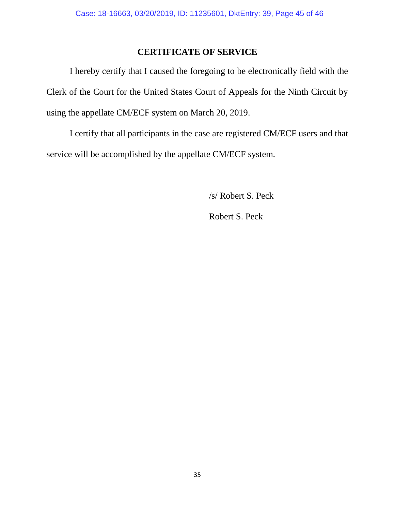## **CERTIFICATE OF SERVICE**

<span id="page-44-0"></span>I hereby certify that I caused the foregoing to be electronically field with the Clerk of the Court for the United States Court of Appeals for the Ninth Circuit by using the appellate CM/ECF system on March 20, 2019.

I certify that all participants in the case are registered CM/ECF users and that service will be accomplished by the appellate CM/ECF system.

/s/ Robert S. Peck

Robert S. Peck